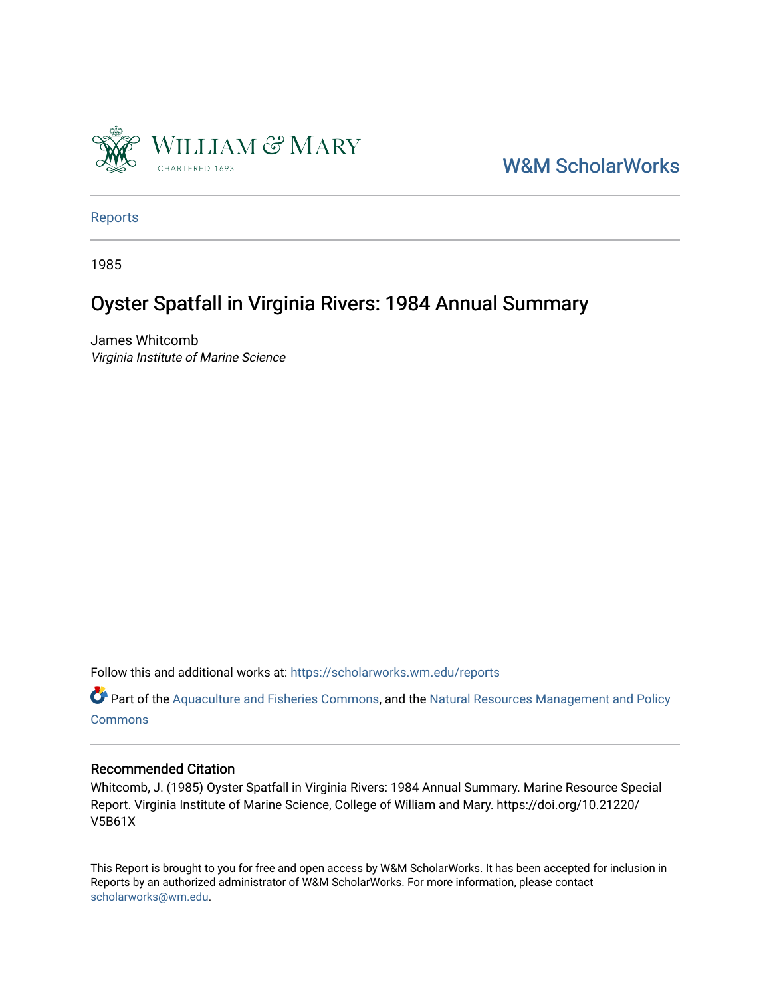

[W&M ScholarWorks](https://scholarworks.wm.edu/) 

[Reports](https://scholarworks.wm.edu/reports)

1985

## Oyster Spatfall in Virginia Rivers: 1984 Annual Summary

James Whitcomb Virginia Institute of Marine Science

Follow this and additional works at: [https://scholarworks.wm.edu/reports](https://scholarworks.wm.edu/reports?utm_source=scholarworks.wm.edu%2Freports%2F369&utm_medium=PDF&utm_campaign=PDFCoverPages)

Part of the [Aquaculture and Fisheries Commons](http://network.bepress.com/hgg/discipline/78?utm_source=scholarworks.wm.edu%2Freports%2F369&utm_medium=PDF&utm_campaign=PDFCoverPages), and the Natural Resources Management and Policy **[Commons](http://network.bepress.com/hgg/discipline/170?utm_source=scholarworks.wm.edu%2Freports%2F369&utm_medium=PDF&utm_campaign=PDFCoverPages)** 

## Recommended Citation

Whitcomb, J. (1985) Oyster Spatfall in Virginia Rivers: 1984 Annual Summary. Marine Resource Special Report. Virginia Institute of Marine Science, College of William and Mary. https://doi.org/10.21220/ V5B61X

This Report is brought to you for free and open access by W&M ScholarWorks. It has been accepted for inclusion in Reports by an authorized administrator of W&M ScholarWorks. For more information, please contact [scholarworks@wm.edu.](mailto:scholarworks@wm.edu)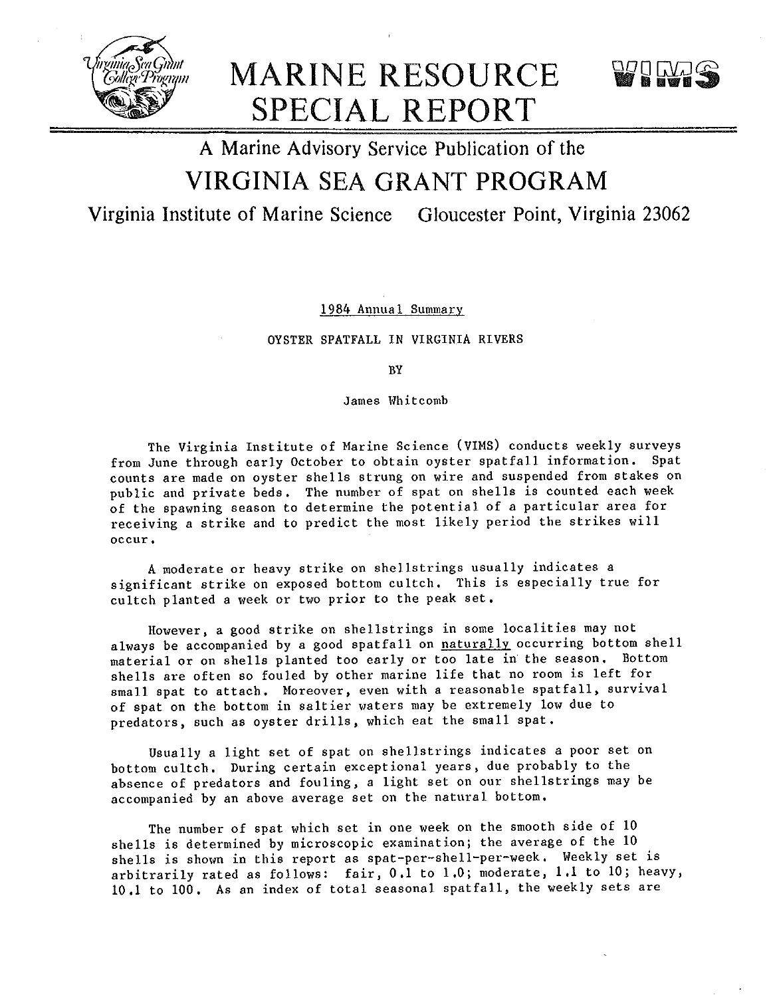

MARINE RESOURCE SPECIAL REPORT

# A Marine Advisory Service Publication of the VIRGINIA SEA GRANT PROGRAM

Virginia Institute of Marine Science Gloucester Point, Virginia 23062

1984 Annual Summary

OYSTER SPATFALL IN VIRGINIA RIVERS

BY

James Whitcomb

The Virginia Institute of Marine Science (VIMS) conducts weekly surveys from June through early October to obtain oyster spatfall information. Spat counts are made on oyster shells strung on wire and suspended from stakes on public and private beds. The number of spat on shells is counted each week of the spawning season to determine the potential of a particular area for receiving a strike and to predict the most likely period the strikes will **occur.** 

A moderate or heavy strike on shellstrings usually indicates a significant strike on exposed bottom cultch. This is especially true for cultch planted a week or two prior to the peak set.

However, a good strike on shellstrings in some localities may not always be accompanied by a good spatfall on naturally occurring bottom shell material or on shells planted too early or too late in the season. Bottom shells are often so fouled by other marine life that no room is left for small spat to attach. Moreover, even with a reasonable spatfall, survival of spat on the bottom in saltier waters may be extremely low due to predators, such as oyster drills, which eat the small spat.

Usually a light set of spat on shellstrings indicates a poor set on bottom cultch. During certain exceptional years, due probably to the absence of predators and fouling, a light set on our shellstrings may be accompanied by an above average set on the natural bottom.

The number of spat which set in one week on the smooth side of 10 shells is determined by microscopic examination; the average of the 10 shells is shown in this report as spat-per-shell-per-week. Weekly set is arbitrarily rated as follows: fair, 0.1 to 1.0; moderate, 1.1 to 10; heavy, 10.1 to 100. As an index of total seasonal spatfall, the weekly sets are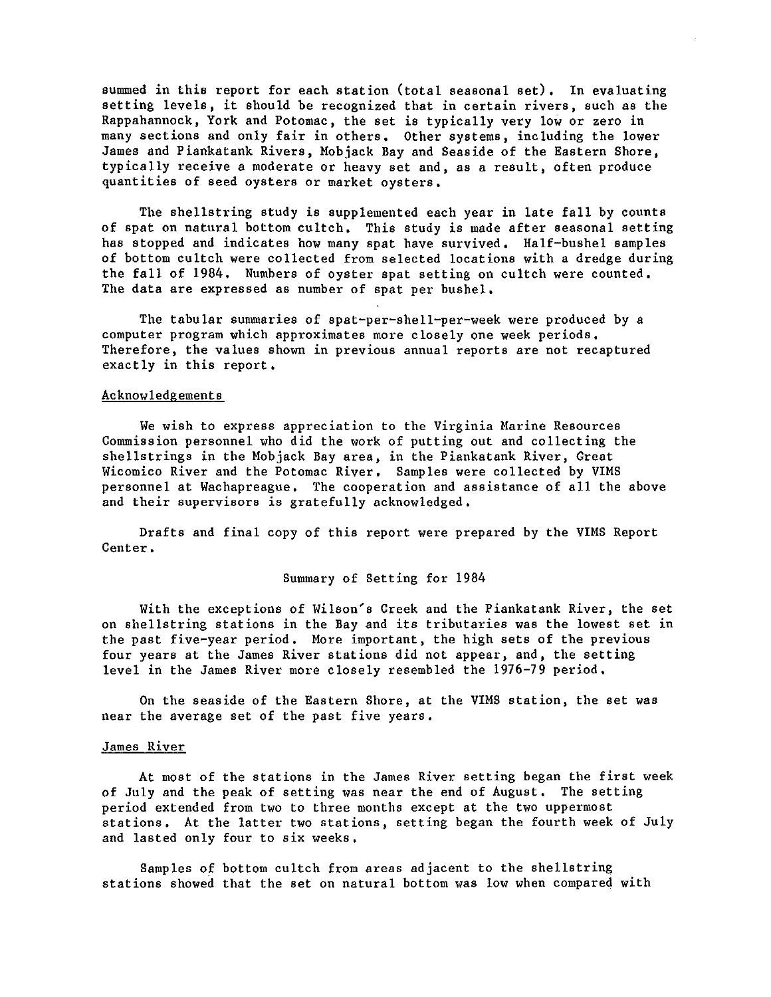summed in this report for each station (total seasonal set), In evaluating setting levels, it should be recognized that in certain rivers, such as the Rappahannock, York and Potomac, the set is typically very low or zero in many sections and only fair in others. Other systems, including the lower James and Piankatank Rivers, Mobjack Bay and Seaside of the Eastern Shore, typically receive a moderate or heavy set and, as a result, often produce quantities of seed oysters or market oysters,

The shellstring study is supplemented each year in late fall by counts of spat on natural bottom cultch, This study is made after seasonal setting has stopped and indicates how many spat have survived, Half-bushel samples of bottom cultch were collected from selected locations with a dredge during the fall of 1984, Numbers of oyster spat setting on cultch were counted, The data are expressed as number of spat per bushel,

The tabular summaries of spat-per-shell-per-week were produced by a computer program which approximates more closely one week periods, Therefore, the values shown in previous annual reports are not recaptured exactly in this report,

## Acknowledgements

We wish to express appreciation to the Virginia Marine Resources Commission personnel who did the work of putting out and collecting the shellstrings in the Mobjack Bay area, in the Piankatank River, Great Wicomico River and the Potomac River, Samples were collected by VIMS personnel at Wachapreague, The cooperation and assistance of all the above and their supervisors is gratefully acknowledged,

Drafts and final copy of this report were prepared by the VIMS Report Center,

## Summary of Setting for 1984

With the exceptions of Wilson's Creek and the Piankatank River, the set on shellstring stations in the Bay and its tributaries was the lowest set in the past five-year period. More important, the high sets of the previous four years at the James River stations did not appear, and, the setting level in the James River more closely resembled the 1976-79 period,

On the seaside of the Eastern Shore, at the VIMS station, the set was near the average set of the past five years,

## James River

At most of the stations in the James River setting began the first week of July and the peak of setting was near the end of August, The setting period extended from two to three months except at the two uppermost stations. At the latter two stations, setting began the fourth week of July and lasted only four to six weeks,

Samples of bottom cultch from areas adjacent to the shellstring stations showed that the set on natural bottom was low when compared with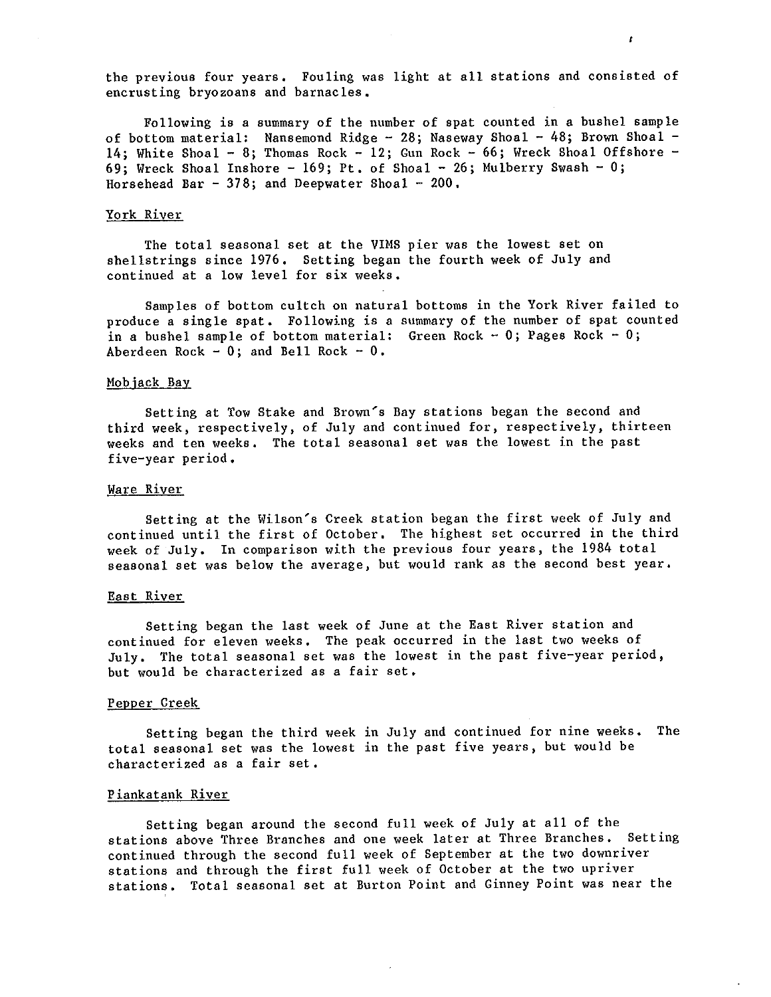the previous four years, Fouling was light at all stations and consisted of encrusting bryozoans and barnacles,

 $\mathbf{r}$ 

Following is a summary of the number of spat counted in a bushel sample of bottom material: Nansemond Ridge - 28; Naseway Shoal - 48; Brown Shoal -14; White Shoal - 8; Thomas Rock - 12; Gun Rock - 66; Wreck Shoal Offshore 69; Wreck Shoal Inshore - 169; Pt. of Shoal - 26; Mulberry Swash - 0; Horsehead Bar - 378; and Deepwater Shoal -  $200$ .

## York River

The total seasonal set at the VIMS pier was the lowest set on shellstrings since 1976, Setting began the fourth week of July and continued at a low level for six weeks,

Samples of bottom cultch on natural bottoms in the York River failed to produce a single spat. Following is a summary of the number of spat counted in a bushel sample of bottom material: Green Rock - 0; Pages Rock - 0; Aberdeen Rock -  $0$ ; and Bell Rock -  $0$ .

### Mobjack Bay

Setting at Tow Stake and Brown's Bay stations began the second and third week, respectively, of July and continued for, respectively, thirteen weeks and ten weeks, The total seasonal set was the lowest in the past five-year period,

### Ware River

Setting at the Wilson's Creek station began the first week of July and continued until the first of October, The highest set occurred in the third week of July, In comparison with the previous four years, the 1984 total seasonal set was below the average, but would rank as the second best year.

## East River

Setting began the last week of June at the East River station and continued for eleven weeks, The peak occurred in the last two weeks of July, The total seasonal set was the lowest in the past five-year period, but would be characterized as a fair set,

## Pepper Creek

Setting began the third week in July and continued for nine weeks. The total seasonal set was the lowest in the past five years, but would be characterized as a fair set,

#### Piankatank River

Setting began around the second full week of July at all of the stations above Three Branches and one week later at Three Branches, Setting continued through the second full week of September at the two downriver stations and through the first full week of October at the two upriver stations, Total seasonal set at Burton Point and Ginney Point was near the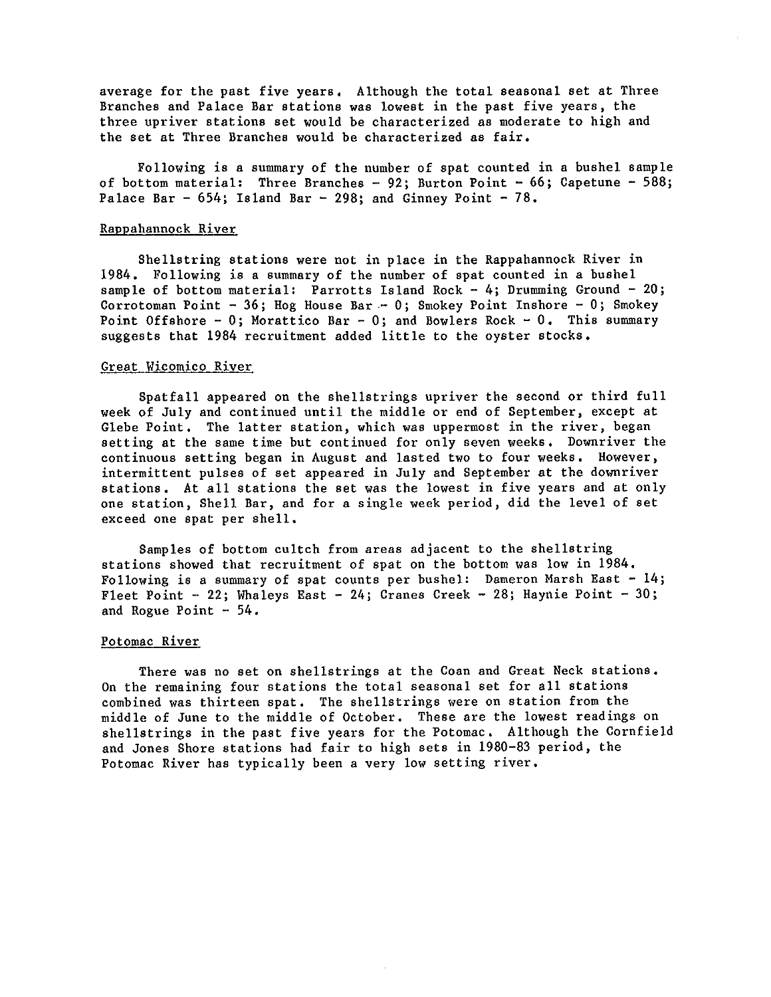average for the past five years, Although the total seasonal set at Three Branches and Palace Bar stations was lowest in the past five years, the three upriver stations set would be characterized as moderate to high and the set at Three Branches would be characterized as fair,

Following is a summary of the number of spat counted in a bushel sample of bottom material: Three Branches - 92; Burton Point - 66; Capetune - 588; Palace Bar  $-$  654; Island Bar  $-$  298; and Ginney Point  $-$  78.

## Rappahannock River

Shellstring stations were not in place in the Rappahannock River in 1984, Following is a summary of the number of spat counted in a bushel sample of bottom material: Parrotts Island Rock  $-4$ ; Drumming Ground  $-20$ ; Corrotoman Point - 36; Hog House Bar. - 0; Smokey Point Inshore - 0; Smokey Point Offshore - 0; Morattico Bar - 0; and Bowlers Rock - 0. This summary suggests that 1984 recruitment added little to the oyster stocks,

## Great Wicomico River

Spatfall appeared on the shellstrings upriver the second or third full week of July and continued until the middle or end of September, except at Glebe Point, The latter station, which was uppermost in the river, began setting at the same time but continued for only seven weeks, Downriver the continuous setting began in August and lasted two to four weeks, However, intermittent pulses of set appeared in July and September at the downriver stations, At all stations the set was the lowest in five years and at only one station, Shell Bar, and for a single week period, did the level of set exceed one spat per shell,

Samples of bottom cultch from areas adjacent to the shellstring stations showed that recruitment of spat on the bottom was low in 1984, Following is a summary of spat counts per bushel: Dameron Marsh East - 14; Fleet Point - 22; Whaleys East - 24; Cranes Creek - 28; Haynie Point - 30; and Rogue Point  $-54$ .

## Potomac River

There was no set on shellstrings at the Coan and Great Neck stations. On the remaining four stations the total seasonal set for all stations combined was thirteen spat, The shellstrings were on station from the middle of June to the middle of October, These are the lowest readings on shellstrings in the past five years for the Potomac. Although the Cornfield and Jones Shore stations had fair to high sets in 1980-83 period, the Potomac River has typically been a very low setting river,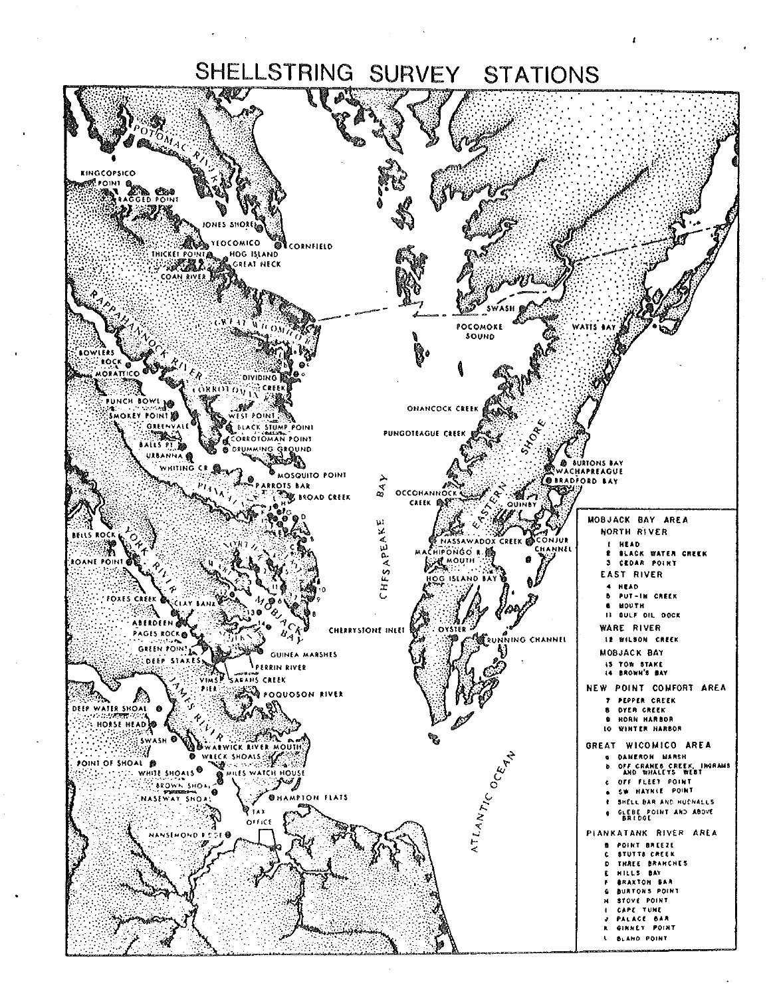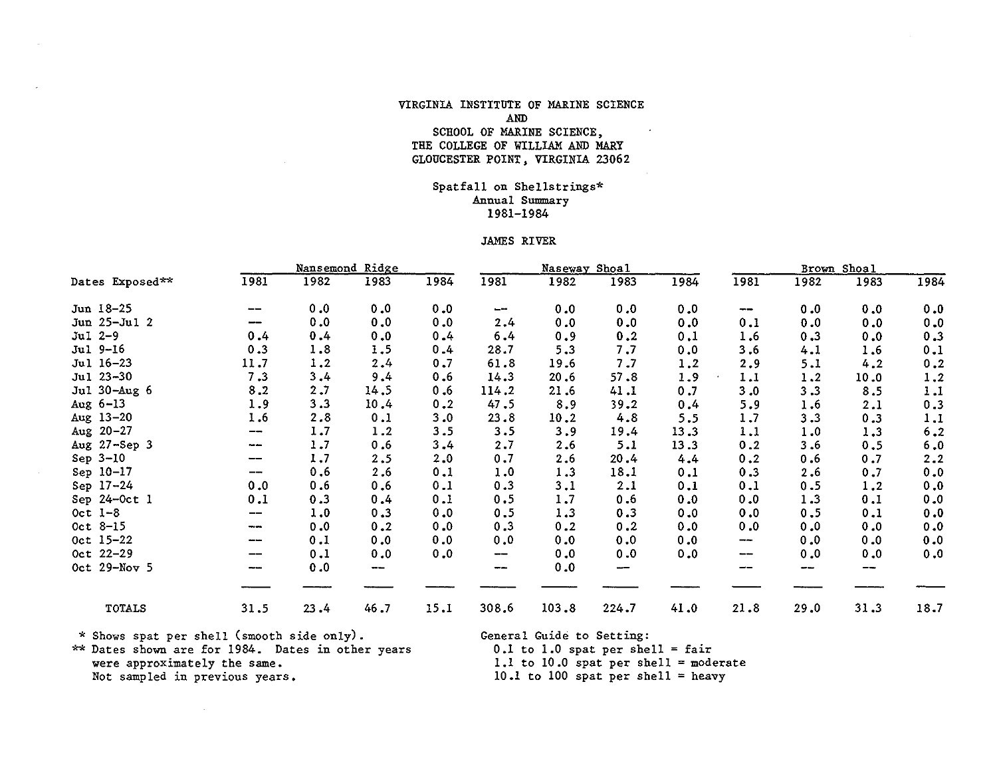## VIRGINIA INSTITUTE OF MARINE SCIENCE AND SCHOOL OF MARINE SCIENCE, THE COLLEGE OF WILLIAM AND MARY GLOUCESTER POINT, VIRGINIA 23062

## Spatfall on Shellstrings\* Annual Summary 1981-1984

#### JAMES RIVER

|                 |        |      | Nansemond Ridge |      |        | Naseway Shoal |       |      |           |      | Brown Shoal |      |
|-----------------|--------|------|-----------------|------|--------|---------------|-------|------|-----------|------|-------------|------|
| Dates Exposed** | 1981   | 1982 | 1983            | 1984 | 1981   | 1982          | 1983  | 1984 | 1981      | 1982 | 1983        | 1984 |
| Jun 18-25       | --     | 0.0  | 0.0             | 0.0  | $\sim$ | 0.0           | 0.0   | 0.0  | --        | 0.0  | 0.0         | 0.0  |
| Jun 25-Jul 2    | --     | 0.0  | 0.0             | 0.0  | 2,4    | 0.0           | 0.0   | 0.0  | 0.1       | 0.0  | 0.0         | 0.0  |
| $Ju1 2-9$       | 0.4    | 0.4  | 0.0             | 0.4  | 6.4    | 0.9           | 0.2   | 0,1  | 1.6       | 0.3  | 0.0         | 0.3  |
| Jul 9-16        | 0.3    | 1.8  | 1.5             | 0.4  | 28.7   | 5.3           | 7.7   | 0.0  | 3.6       | 4.1  | 1.6         | 0.1  |
| Jul 16-23       | 11.7   | 1.2  | 2.4             | 0.7  | 61.8   | 19.6          | 7.7   | 1.2  | 2.9       | 5.1  | 4.2         | 0.2  |
| Jul 23-30       | 7.3    | 3.4  | 9.4             | 0.6  | 14.3   | 20.6          | 57.8  | 1.9  | 1.1       | 1.2  | 10.0        | 1.2  |
| Jul 30-Aug 6    | 8.2    | 2.7  | 14.5            | 0.6  | 114.2  | 21.6          | 41.1  | 0.7  | 3.0       | 3.3  | 8.5         | 1.1  |
| Aug $6-13$      | 1.9    | 3.3  | 10.4            | 0.2  | 47.5   | 8.9           | 39.2  | 0.4  | 5.9       | 1.6  | 2.1         | 0.3  |
| Aug 13-20       | 1.6    | 2.8  | 0.1             | 3.0  | 23.8   | 10.2          | 4.8   | 5.5  | 1.7       | 3.3  | 0.3         | 1.1  |
| Aug $20 - 27$   | --     | 1.7  | 1.2             | 3.5  | 3.5    | 3.9           | 19.4  | 13.3 | 1.1       | 1.0  | 1.3         | 6.2  |
| Aug 27-Sep 3    | ma ani | 1.7  | 0.6             | 3,4  | 2.7    | 2.6           | 5.1   | 13.3 | 0.2       | 3.6  | 0.5         | 6.0  |
| Sep $3-10$      | --     | 1.7  | 2.5             | 2.0  | 0.7    | 2.6           | 20.4  | 4.4  | 0.2       | 0.6  | 0.7         | 2.2  |
| Sep 10-17       | --     | 0.6  | 2.6             | 0.1  | 1.0    | 1.3           | 18.1  | 0.1  | 0.3       | 2.6  | 0.7         | 0.0  |
| Sep 17-24       | 0.0    | 0.6  | 0.6             | 0.1  | 0.3    | 3.1           | 2.1   | 0.1  | 0.1       | 0.5  | 1.2         | 0.0  |
| Sep 24-Oct 1    | 0.1    | 0.3  | 0.4             | 0.1  | 0.5    | 1.7           | 0.6   | 0.0  | 0.0       | 1.3  | 0.1         | 0.0  |
| Oct $1-8$       | --     | 1.0  | 0.3             | 0.0  | 0.5    | 1.3           | 0.3   | 0.0  | 0.0       | 0.5  | 0.1         | 0.0  |
| Oct 8-15        | ---    | 0.0  | 0.2             | 0.0  | 0.3    | 0.2           | 0.2   | 0.0  | 0.0       | 0.0  | 0.0         | 0.0  |
| Oct 15-22       | $-$    | 0.1  | 0.0             | 0.0  | 0.0    | 0.0           | 0.0   | 0.0  | $-\cdots$ | 0.0  | 0.0         | 0.0  |
| Oct 22-29       | --     | 0.1  | 0.0             | 0.0  | --     | 0.0           | 0.0   | 0.0  | --        | 0.0  | 0.0         | 0.0  |
| Oct 29-Nov 5    |        | 0.0  | ---             |      | --     | 0.0           | --    |      | --        | --   | --          |      |
|                 |        |      |                 |      |        |               |       |      |           |      |             |      |
| <b>TOTALS</b>   | 31.5   | 23.4 | 46.7            | 15.1 | 308.6  | 103.8         | 224.7 | 41.0 | 21.8      | 29.0 | 31.3        | 18.7 |

 $\sim 10^{-1}$ 

\* Shows spat per shell (smooth side only). General Guide to Setting: \*\* Dates shown are for 1984. Dates in other years were approximately the same. **were approximately the same.** 1.1 to 10.0 spat per shell= moderate **Not sampled in previous years.** 10.l to 100 spat per shell= heavy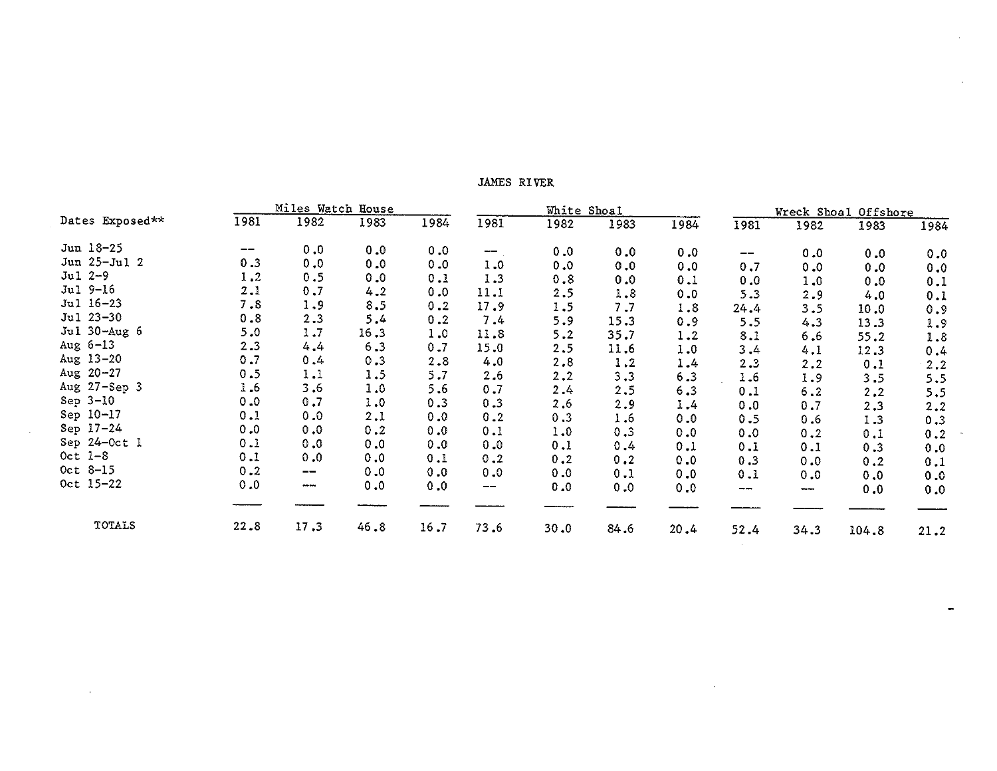## JAMES RIVER

|                 |      | Miles Watch House                     |      |      |                          | White Shoal |      |      |                                     |         | Wreck Shoal Offshore |      |
|-----------------|------|---------------------------------------|------|------|--------------------------|-------------|------|------|-------------------------------------|---------|----------------------|------|
| Dates Exposed** | 1981 | 1982                                  | 1983 | 1984 | 1981                     | 1982        | 1983 | 1984 | 1981                                | 1982    | 1983                 | 1984 |
| Jun 18-25       | --   | 0.0                                   | 0.0  | 0.0  | $\overline{\phantom{m}}$ | 0.0         | 0.0  | 0.0  | $\hspace{0.05cm}$ $\hspace{0.05cm}$ | 0.0     | 0.0                  | 0.0  |
| Jun 25-Jul 2    | 0.3  | 0.0                                   | 0.0  | 0.0  | 1.0                      | 0.0         | 0.0  | 0.0  | 0.7                                 | 0.0     | 0.0                  | 0.0  |
| $Jul 2-9$       | 1.2  | 0.5                                   | 0.0  | 0.1  | 1.3                      | 0.8         | 0.0  | 0.1  | 0.0                                 | 1.0     | 0.0                  |      |
| Jul 9-16        | 2.1  | 0.7                                   | 4.2  | 0.0  | 11.1                     | 2.5         | 1.8  | 0.0  | 5.3                                 | 2.9     |                      | 0.1  |
| Jul 16-23       | 7.8  | 1.9                                   | 8.5  | 0.2  | 17.9                     | 1.5         | 7.7  | 1.8  | 24.4                                | 3.5     | 4.0                  | 0.1  |
| Jul 23-30       | 0.8  | 2.3                                   | 5.4  | 0.2  | 7.4                      | 5.9         | 15.3 | 0.9  | 5.5                                 |         | 10.0                 | 0.9  |
| Jul 30-Aug 6    | 5.0  | 1.7                                   | 16.3 | 1.0  | 11.8                     | 5.2         | 35.7 | 1.2  | 8.1                                 | 4.3     | 13.3                 | 1.9  |
| Aug $6-13$      | 2.3  | 4.4                                   | 6.3  | 0.7  | 15.0                     | 2.5         | 11.6 | 1.0  | 3,4                                 | 6.6     | 55.2                 | 1.8  |
| Aug 13-20       | 0.7  | 0.4                                   | 0.3  | 2.8  | 4.0                      | 2.8         | 1.2  | 1.4  |                                     | 4.1     | 12.3                 | 0.4  |
| Aug $20 - 27$   | 0.5  | 1.1                                   | 1.5  | 5.7  | 2.6                      | 2.2         | 3.3  | 6.3  | 2.3                                 | 2.2     | 0.1                  | 2.2  |
| Aug 27-Sep 3    | 1.6  | 3.6                                   | 1.0  | 5.6  | 0.7                      | 2.4         |      |      | 1.6                                 | 1.9     | 3.5                  | 5.5  |
| Sep $3-10$      | 0.0  | 0.7                                   | 1.0  | 0.3  | 0.3                      |             | 2.5  | 6.3  | 0.1                                 | 6.2     | 2, 2                 | 5.5  |
| Sep 10-17       | 0.1  | 0.0                                   | 2.1  | 0.0  |                          | 2.6         | 2.9  | 1.4  | 0.0                                 | 0.7     | 2.3                  | 2.2  |
| Sep 17-24       | 0.0  | 0.0                                   | 0.2  |      | 0.2                      | 0.3         | 1.6  | 0.0  | 0.5                                 | 0.6     | 1.3                  | 0.3  |
| Sep 24-Oct 1    |      |                                       |      | 0.0  | 0.1                      | 1.0         | 0.3  | 0.0  | 0.0                                 | 0.2     | 0.1                  | 0.2  |
|                 | 0.1  | 0.0                                   | 0.0  | 0.0  | 0.0                      | 0.1         | 0.4  | 0.1  | 0.1                                 | 0.1     | 0.3                  | 0.0  |
| Oct $1-8$       | 0.1  | 0.0                                   | 0.0  | 0.1  | 0.2                      | 0.2         | 0.2  | 0.0  | 0.3                                 | 0.0     | 0.2                  | 0.1  |
| Oct 8-15        | 0.2  | $\hspace{0.05cm}$ – $\hspace{0.05cm}$ | 0.0  | 0.0  | 0.0                      | 0.0         | 0.1  | 0.0  | 0.1                                 | 0.0     | 0.0                  | 0.0  |
| Oct 15-22       | 0.0  | $\cdots$                              | 0.0  | 0.0  | --                       | 0.0         | 0.0  | 0.0  | ----                                | $- - -$ | 0.0                  | 0.0  |
|                 |      |                                       |      |      |                          |             |      |      |                                     |         |                      |      |
| <b>TOTALS</b>   | 22.8 | 17.3                                  | 46.8 | 16.7 | 73.6                     | 30.0        | 84.6 | 20.4 | 52.4                                | 34.3    | 104.8                | 21.2 |

 $\alpha$ 

 $\ddot{\phantom{a}}$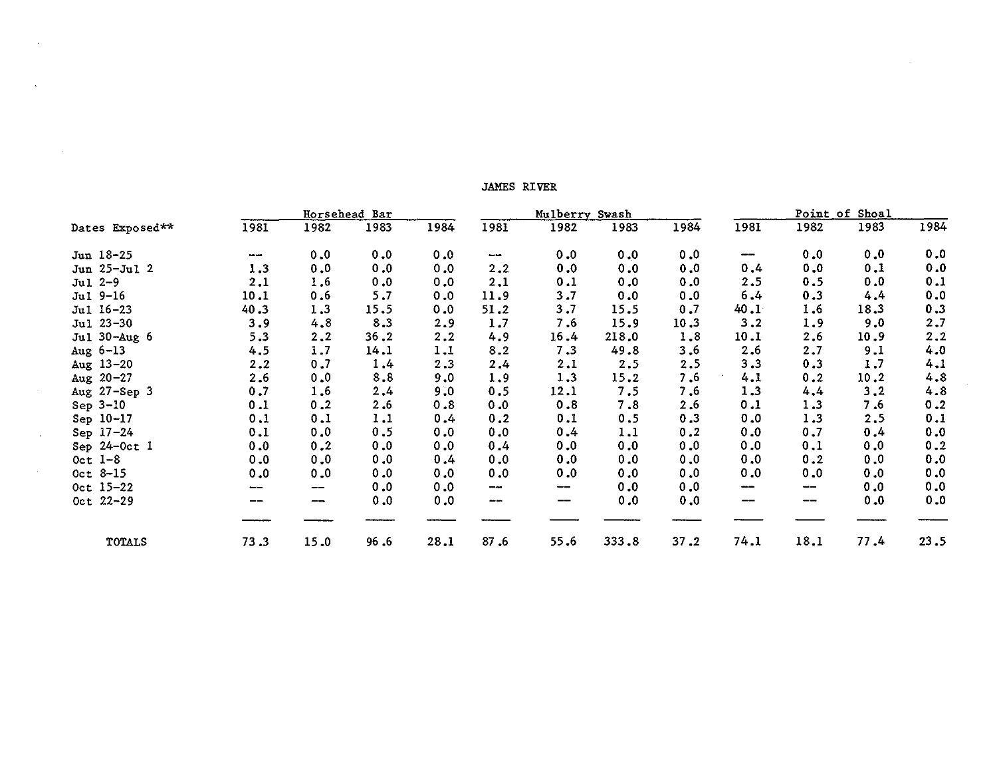|                 |      |      | Horsehead Bar |      | Mulberry Swash |       |       |      | Point of Shoal |       |      |      |
|-----------------|------|------|---------------|------|----------------|-------|-------|------|----------------|-------|------|------|
| Dates Exposed** | 1981 | 1982 | 1983          | 1984 | 1981           | 1982  | 1983  | 1984 | 1981           | 1982  | 1983 | 1984 |
| Jun 18-25       | ---  | 0.0  | 0.0           | 0.0  | ---            | 0.0   | 0.0   | 0, 0 | $\sim$         | 0.0   | 0.0  | 0.0  |
| Jun 25-Jul 2    | 1.3  | 0.0  | 0.0           | 0.0  | 2.2            | 0.0   | 0.0   | 0.0  | 0.4            | 0.0   | 0.1  | 0.0  |
| $Jul 2-9$       | 2.1  | 1.6  | 0.0           | 0.0  | 2.1            | 0.1   | 0.0   | 0.0  | 2.5            | 0.5   | 0.0  | 0.1  |
| $Ju1 9-16$      | 10.1 | 0.6  | 5.7           | 0.0  | 11.9           | 3.7   | 0.0   | 0.0  | 6.4            | 0.3   | 4,4  | 0.0  |
| Jul 16-23       | 40.3 | 1.3  | 15.5          | 0.0  | 51.2           | 3.7   | 15.5  | 0.7  | 40.1           | 1.6   | 18.3 | 0.3  |
| Jul 23-30       | 3.9  | 4.8  | 8.3           | 2.9  | 1.7            | 7.6   | 15.9  | 10.3 | 3.2            | 1.9   | 9.0  | 2.7  |
| Jul 30-Aug 6    | 5.3  | 2.2  | 36.2          | 2.2  | 4.9            | 16.4  | 218.0 | 1.8  | 10.1           | 2.6   | 10.9 | 2.2  |
| Aug $6-13$      | 4.5  | 1.7  | 14.1          | 1.1  | 8.2            | 7.3   | 49.8  | 3,6  | 2.6            | 2.7   | 9.1  | 4.0  |
| Aug $13-20$     | 2.2  | 0.7  | 1.4           | 2.3  | 2.4            | 2.1   | 2.5   | 2.5  | 3.3            | 0.3   | 1.7  | 4.1  |
| Aug $20 - 27$   | 2.6  | 0.0  | 8.8           | 9.0  | 1.9            | 1.3   | 15.2  | 7.6  | 4.1            | 0.2   | 10.2 | 4.8  |
| Aug 27-Sep 3    | 0.7  | 1.6  | 2,4           | 9.0  | 0.5            | 12.1  | 7.5   | 7.6  | 1.3            | 4.4   | 3.2  | 4.8  |
| Sep 3-10        | 0.1  | 0.2  | 2.6           | 0.8  | 0.0            | 0.8   | 7.8   | 2.6  | 0.1            | 1.3   | 7.6  | 0.2  |
| Sep 10-17       | 0.1  | 0.1  | 1.1           | 0.4  | 0.2            | 0.1   | 0.5   | 0.3  | 0.0            | 1.3   | 2,5  | 0.1  |
| Sep 17-24       | 0.1  | 0.0  | 0.5           | 0.0  | 0.0            | 0.4   | 1.1   | 0.2  | 0.0            | 0.7   | 0.4  | 0.0  |
| Sep 24-Oct 1    | 0.0  | 0.2  | 0.0           | 0.0  | 0.4            | 0.0   | 0.0   | 0.0  | 0.0            | 0.1   | 0.0  | 0.2  |
| Oct $1-8$       | 0.0  | 0.0  | 0.0           | 0.4  | 0.0            | 0.0   | 0.0   | 0.0  | 0.0            | 0.2   | 0.0  | 0.0  |
| Oct $8-15$      | 0.0  | 0.0  | 0.0           | 0.0  | 0.0            | 0.0   | 0.0   | 0.0  | 0.0            | 0.0   | 0.0  | 0.0  |
| Oct 15-22       |      | --   | 0.0           | 0.0  | $- - -$        | $-\!$ | 0.0   | 0.0  | $\cdots$       | $-\!$ | 0.0  | 0.0  |
| Oct 22-29       |      | --   | 0.0           | 0.0  | an an          | --    | 0.0   | 0.0  |                | --    | 0.0  | 0.0  |
| TOTALS          | 73.3 | 15.0 | 96.6          | 28.1 | 87.6           | 55.6  | 333.8 | 37.2 | 74.1           | 18.1  | 77.4 | 23.5 |

JAMES RIVER

 $\omega$ 

 $\sim 10^{-1}$ 

 $\sim$   $\epsilon$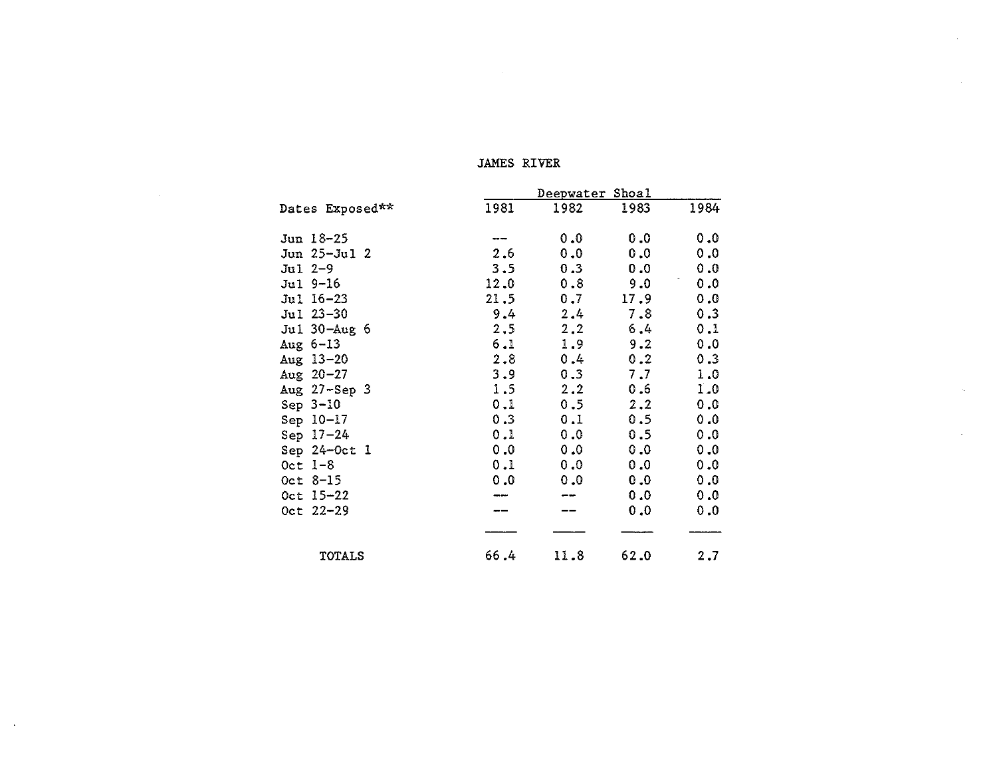## JAMES RIVER

 $\sim 10^{11}$  km s  $^{-1}$ 

 $\mathcal{L}^{\text{max}}_{\text{max}}$  and  $\mathcal{L}^{\text{max}}_{\text{max}}$ 

 $\sim$   $\epsilon$ 

|                 |      | Deepwater Shoal |      |      |
|-----------------|------|-----------------|------|------|
| Dates Exposed** | 1981 | 1982            | 1983 | 1984 |
| Jun 18-25       | ---  | 0.0             | 0.0  | 0.0  |
| Jun 25-Jul 2    | 2.6  | 0.0             | 0.0  | 0.0  |
| $Jul 2-9$       | 3.5  | 0.3             | 0.0  | 0.0  |
| Jul 9-16        | 12.0 | 0.8             | 9.0  | 0.0  |
| Jul 16-23       | 21.5 | 0.7             | 17.9 | 0.0  |
| Jul 23-30       | 9.4  | 2.4             | 7.8  | 0.3  |
| Jul 30-Aug 6    | 2, 5 | 2.2             | 6.4  | 0.1  |
| Aug $6-13$      | 6.1  | 1.9             | 9.2  | 0.0  |
| Aug $13 - 20$   | 2.8  | 0.4             | 0.2  | 0.3  |
| Aug $20 - 27$   | 3.9  | 0.3             | 7.7  | 1.0  |
| Aug 27-Sep 3    | 1.5  | 2, 2            | 0.6  | I.O  |
| Sep $3-10$      | 0.1  | $0.5 -$         | 2.2  | 0.0  |
| Sep 10-17       | 0.3  | 0.1             | 0.5  | 0.0  |
| Sep $17-24$     | 0.1  | 0.0             | 0.5  | 0.0  |
| Sep $24-0ct$ 1  | 0.0  | 0.0             | 0, 0 | 0.0  |
| Oct $1-8$       | 0.1  | 0.0             | 0.0  | 0.0  |
| $0ct 8-15$      | 0.0  | 0.0             | 0.0  | 0.0  |
| $0ct$ 15-22     |      |                 | 0.0  | 0.0  |
| $0ct$ 22-29     |      |                 | 0.0  | 0.0  |
|                 |      |                 |      |      |
| <b>TOTALS</b>   | 66.4 | 11.8            | 62.0 | 2,7  |

 $\mathbf{r}$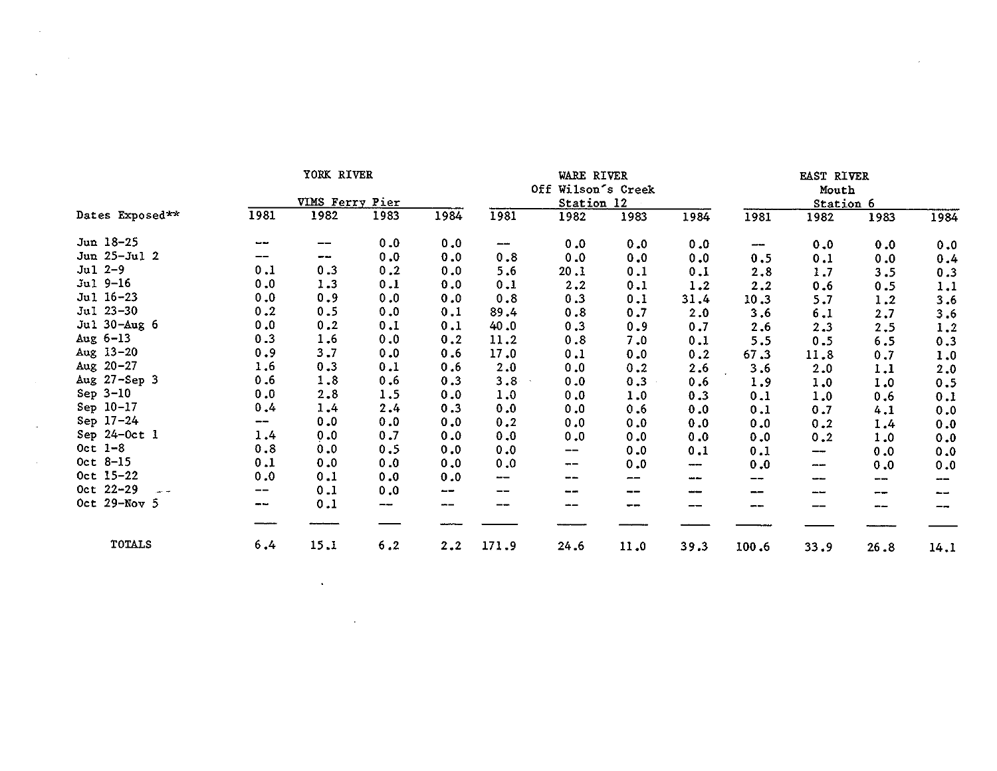|                   |       | YORK RIVER      |      |      |       | WARE RIVER               |      |      |       | EAST RIVER |      |      |
|-------------------|-------|-----------------|------|------|-------|--------------------------|------|------|-------|------------|------|------|
|                   |       |                 |      |      |       | Off Wilson's Creek       |      |      |       | Mouth      |      |      |
|                   |       | VIMS Ferry Pier |      |      |       | Station 12               |      |      |       | Station 6  |      |      |
| Dates Exposed**   | 1981  | 1982            | 1983 | 1984 | 1981  | 1982                     | 1983 | 1984 | 198I  | 1982       | 1983 | 1984 |
| Jun 18-25         |       | --              | 0.0  | 0.0  | j     | 0.0                      | 0.0  | 0.0  | ---   | 0.0        | 0.0  | 0.0  |
| Jun 25-Jul 2      | --    | --              | 0.0  | 0.0  | 0.8   | 0.0                      | 0.0  | 0.0  | 0.5   | 0.1        | 0.0  | 0.4  |
| $Ju1 2-9$         | 0.1   | 0.3             | 0.2  | 0.0  | 5.6   | 20.1                     | 0.1  | 0.1  | 2.8   | 1.7        | 3.5  | 0.3  |
| $Jul 9-16$        | 0.0   | 1.3             | 0.1  | 0.0  | 0.1   | 2.2                      | 0.1  | 1.2  | 2.2   | 0.6        | 0.5  | 1.1  |
| Jul 16-23         | 0.0   | 0.9             | 0.0  | 0.0  | 0.8   | 0.3                      | 0.1  | 31.4 | 10.3  | 5.7        | 1.2  | 3.6  |
| Jul 23-30         | 0.2   | 0.5             | 0.0  | 0.1  | 89.4  | 0.8                      | 0.7  | 2.0  | 3.6   | 6.1        | 2.7  | 3.6  |
| Jul 30-Aug 6      | 0.0   | 0.2             | 0.1  | 0.1  | 40.0  | 0.3                      | 0.9  | 0.7  | 2.6   | 2.3        | 2.5  | 1.2  |
| Aug $6-13$        | 0.3   | 1.6             | 0.0  | 0.2  | 11.2  | 0.8                      | 7.0  | 0.1  | 5.5   | 0.5        | 6.5  | 0.3  |
| Aug $13-20$       | 0.9   | 3.7             | 0.0  | 0.6  | 17.0  | 0.1                      | 0.0  | 0.2  | 67.3  | 11.8       | 0.7  | 1.0  |
| Aug $20 - 27$     | 1.6   | 0.3             | 0.1  | 0.6  | 2.0   | 0.0                      | 0.2  | 2.6  | 3.6   | 2.0        | 1.1  | 2.0  |
| Aug 27-Sep 3      | 0.6   | 1.8             | 0.6  | 0.3  | 3.8   | 0.0                      | 0.3  | 0.6  | 1.9   | 1.0        | 1.0  | 0.5  |
| Sep $3-10$        | 0.0   | 2.8             | 1.5  | 0.0  | 1.0   | 0.0                      | 1.0  | 0.3  | 0.1   | 1.0        | 0.6  | 0.1  |
| Sep 10-17         | 0.4   | 1.4             | 2.4  | 0.3  | 0.0   | 0.0                      | 0.6  | 0.0  | 0.1   | 0.7        | 4.1  | 0.0  |
| $Sep 17-24$       | --    | 0.0             | 0.0  | 0.0  | 0.2   | 0.0                      | 0.0  | 0.0  | 0.0   | 0.2        | 1.4  | 0.0  |
| Sep $24-0ct$ l    | 1.4   | 0.0             | 0.7  | 0.0  | 0.0   | 0.0                      | 0.0  | 0.0  | 0.0   | 0.2        | 1.0  | 0.0  |
| Oct $1-8$         | $0.8$ | 0.0             | 0.5  | 0.0  | 0.0   | --                       | 0.0  | 0.1  | 0.1   | ---        | 0.0  | 0.0  |
| Oct 8-15          | 0.1   | 0.0             | 0.0  | 0.0  | 0.0   | $\overline{\phantom{m}}$ | 0.0  | ---- | 0.0   | ---        | 0.0  | 0.0  |
| Oct 15-22         | 0.0   | 0.1             | 0.0  | 0.0  | --    | ---                      | --   | ---  | --    | ---        | --   | ---  |
| Oct 22-29<br>سأنس | --    | 0.1             | 0.0  | --   | --    |                          | ---  | سدست | --    | سدسد       | --   | --   |
| Oct 29-Nov 5      | --    | 0.1             | -    | $-$  | --    |                          | --   | --   | ---   |            |      |      |
|                   |       |                 |      |      |       |                          |      |      |       |            |      |      |
| <b>TOTALS</b>     | 6.4   | 15.1            | 6.2  | 2.2  | 171.9 | 24.6                     | 11.0 | 39.3 | 100.6 | 33.9       | 26.8 | 14.1 |

the control of the control of the

 $\mathcal{L}(\mathcal{L}(\mathcal{L}))$  and  $\mathcal{L}(\mathcal{L}(\mathcal{L}))$  . The contribution of the contribution of

 $\label{eq:2.1} \frac{1}{\sqrt{2}}\int_{\mathbb{R}^3}\frac{1}{\sqrt{2}}\left(\frac{1}{\sqrt{2}}\right)^2\left(\frac{1}{\sqrt{2}}\right)^2\left(\frac{1}{\sqrt{2}}\right)^2\left(\frac{1}{\sqrt{2}}\right)^2\left(\frac{1}{\sqrt{2}}\right)^2.$ 

 $\label{eq:2.1} \frac{1}{\sqrt{2}}\left(\frac{1}{\sqrt{2}}\right)^{2} \left(\frac{1}{\sqrt{2}}\right)^{2} \left(\frac{1}{\sqrt{2}}\right)^{2} \left(\frac{1}{\sqrt{2}}\right)^{2} \left(\frac{1}{\sqrt{2}}\right)^{2} \left(\frac{1}{\sqrt{2}}\right)^{2} \left(\frac{1}{\sqrt{2}}\right)^{2} \left(\frac{1}{\sqrt{2}}\right)^{2} \left(\frac{1}{\sqrt{2}}\right)^{2} \left(\frac{1}{\sqrt{2}}\right)^{2} \left(\frac{1}{\sqrt{2}}\right)^{2} \left(\$ 

 $\mathcal{L}^{\text{max}}_{\text{max}}$  and  $\mathcal{L}^{\text{max}}_{\text{max}}$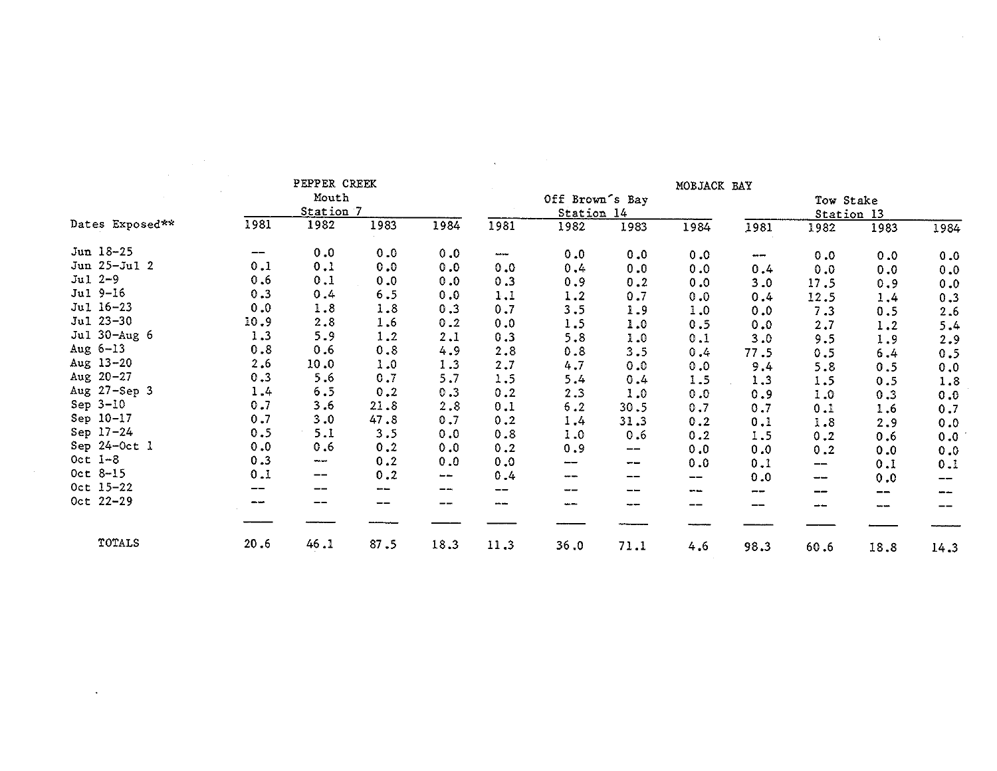|                 |                                            | PEPPER CREEK             |      |      |                   |                 |               | MOBJACK BAY |       |            |      |      |
|-----------------|--------------------------------------------|--------------------------|------|------|-------------------|-----------------|---------------|-------------|-------|------------|------|------|
|                 |                                            | Mouth                    |      |      |                   | Off Brown's Bay |               |             |       | Tow Stake  |      |      |
|                 |                                            | Station 7                |      |      |                   | Station 14      |               |             |       | Station 13 |      |      |
| Dates Exposed** | 1981                                       | 1982                     | 1983 | 1984 | 1981              | 1982            | 1983          | 1984        | 1981  | 1982       | 1983 | 1984 |
| Jun 18-25       | $\qquad \qquad \textbf{---} \qquad \qquad$ | 0.0                      | 0.0  | 0.0  | $\cdots$          | 0.0             | 0.0           | 0.0         | ---   | 0.0        | 0.0  | 0.0  |
| Jun 25-Jul 2    | 0.1                                        | 0.1                      | 0.0  | 0.0  | 0.0               | 0.4             | 0.0           | 0.0         | 0.4   | 0.0        | 0.0  | 0.0  |
| $Jul 2-9$       | 0.6                                        | 0.1                      | 0.0  | 0.0  | 0.3               | 0.9             | 0.2           | 0.0         | 3.0   | 17.5       | 0.9  | 0.0  |
| Jul 9-16        | 0.3                                        | 0.4                      | 6.5  | 0.0  | 1.1               | 1.2             | 0.7           | 0.0         | 0.4   | 12.5       | 1.4  | 0.3  |
| Jul 16-23       | 0.0                                        | 1.8                      | 1.8  | 0.3  | 0.7               | 3, 5            | 1.9           | 1.0         | 0.0   | 7.3        | 0.5  | 2.6  |
| Jul 23-30       | 10.9                                       | 2.8                      | 1.6  | 0.2  | 0.0               | 1.5             | 1.0           | 0.5         | 0.0   | 2.7        | 1.2  | 5.4  |
| Jul 30-Aug 6    | 1.3                                        | 5.9                      | 1.2  | 2.1  | 0.3               | 5.8             | 1.0           | 0.1         | 3.0   | 9.5        | 1.9  | 2.9  |
| Aug $6-13$      | 0.8                                        | 0.6                      | 0.8  | 4.9  | 2.8               | 0.8             | 3.5           | 0.4         | 77.5  | 0.5        | 6.4  | 0.5  |
| Aug $13 - 20$   | 2.6                                        | 10.0                     | 1.0  | 1.3  | 2.7               | 4.7             | 0.0           | 0.0         | 9.4   | 5.8        | 0.5  | 0.0  |
| Aug $20 - 27$   | 0.3                                        | 5.6                      | 0.7  | 5.7  | 1.5               | 5.4             | 0.4           | 1.5         | 1.3   | 1.5        | 0.5  | 1.8  |
| Aug 27-Sep 3    | 1.4                                        | 6.5                      | 0.2  | 0.3  | 0.2               | 2.3             | 1.0           | 0.0         | 0.9   | 1.0        | 0.3  | 0.0  |
| $Sep 3-10$      | 0.7                                        | 3.6                      | 21.8 | 2.8  | 0.1               | 6.2             | 30.5          | 0.7         | 0.7   | 0.1        | 1.6  | 0.7  |
| Sep 10-17       | 0.7                                        | 3.0                      | 47.8 | 0.7  | 0.2               | 1.4             | 31.3          | 0.2         | 0.1   | 1.8        | 2.9  | 0.0  |
| Sep 17-24       | 0.5                                        | 5.1                      | 3.5  | 0.0  | 0.8               | 1.0             | 0.6           | 0.2         | 1.5   | 0.2        | 0.6  | 0.0  |
| Sep 24-Oct 1    | 0.0                                        | 0.6                      | 0.2  | 0.0  | 0.2               | 0.9             | $\frac{1}{2}$ | 0.0         | 0.0   | 0.2        | 0.0  | 0.0  |
| Oct $1-8$       | 0.3                                        | $-$                      | 0.2  | 0.0  | 0.0               | --              | $-$           | 0.0         | 0.1   | --         | 0.1  | 0.1  |
| $Oct 8-15$      | 0.1                                        | $\qquad \qquad \qquad -$ | 0.2  | $-$  | 0.4               | ---             | --            | --          | 0.0   | www.       | 0.0  |      |
| Oct 15-22       | --                                         | --                       | ---  | --   | $\qquad \qquad -$ | --              | $- -$         | $\sim$      | $- -$ | --         | --   |      |
| Oct 22-29       |                                            |                          | --   | --   | $\cdots$          | $\cdots$        | ---           | --          | --    | --         | ---  |      |
|                 |                                            |                          |      |      |                   |                 |               |             |       |            |      |      |
| TOTALS          | 20.6                                       | 46.1                     | 87.5 | 18.3 | 11.3              | 36.0            | 71.1          | 4.6         | 98.3  | 60.6       | 18.8 | 14.3 |

 $\mathcal{L}(\mathcal{L}(\mathcal{L}(\mathcal{L}(\mathcal{L}(\mathcal{L}(\mathcal{L}(\mathcal{L}(\mathcal{L}(\mathcal{L}(\mathcal{L}(\mathcal{L}(\mathcal{L}(\mathcal{L}(\mathcal{L}(\mathcal{L}(\mathcal{L}(\mathcal{L}(\mathcal{L}(\mathcal{L}(\mathcal{L}(\mathcal{L}(\mathcal{L}(\mathcal{L}(\mathcal{L}(\mathcal{L}(\mathcal{L}(\mathcal{L}(\mathcal{L}(\mathcal{L}(\mathcal{L}(\mathcal{L}(\mathcal{L}(\mathcal{L}(\mathcal{L}(\mathcal{L}(\mathcal{$ 

 $\label{eq:2.1} \mathbf{A} = \left\{ \begin{array}{ll} \mathbf{A} & \mathbf{A} & \mathbf{A} \\ \mathbf{A} & \mathbf{A} & \mathbf{A} \\ \mathbf{A} & \mathbf{A} & \mathbf{A} \\ \mathbf{A} & \mathbf{A} & \mathbf{A} \\ \mathbf{A} & \mathbf{A} & \mathbf{A} \\ \mathbf{A} & \mathbf{A} & \mathbf{A} \\ \mathbf{A} & \mathbf{A} & \mathbf{A} \\ \mathbf{A} & \mathbf{A} & \mathbf{A} \\ \mathbf{A} & \mathbf{A} & \mathbf{A} \\ \mathbf{$ 

 $\label{eq:1.1} \Delta_{\rm{max}} = \frac{1}{2} \sum_{i=1}^{N} \frac{1}{2} \sum_{i=1}^{N} \frac{1}{2} \sum_{i=1}^{N} \frac{1}{2} \sum_{i=1}^{N} \frac{1}{2} \sum_{i=1}^{N} \frac{1}{2} \sum_{i=1}^{N} \frac{1}{2} \sum_{i=1}^{N} \frac{1}{2} \sum_{i=1}^{N} \frac{1}{2} \sum_{i=1}^{N} \frac{1}{2} \sum_{i=1}^{N} \frac{1}{2} \sum_{i=1}^{N} \frac{1}{2} \sum_{i=1}^{$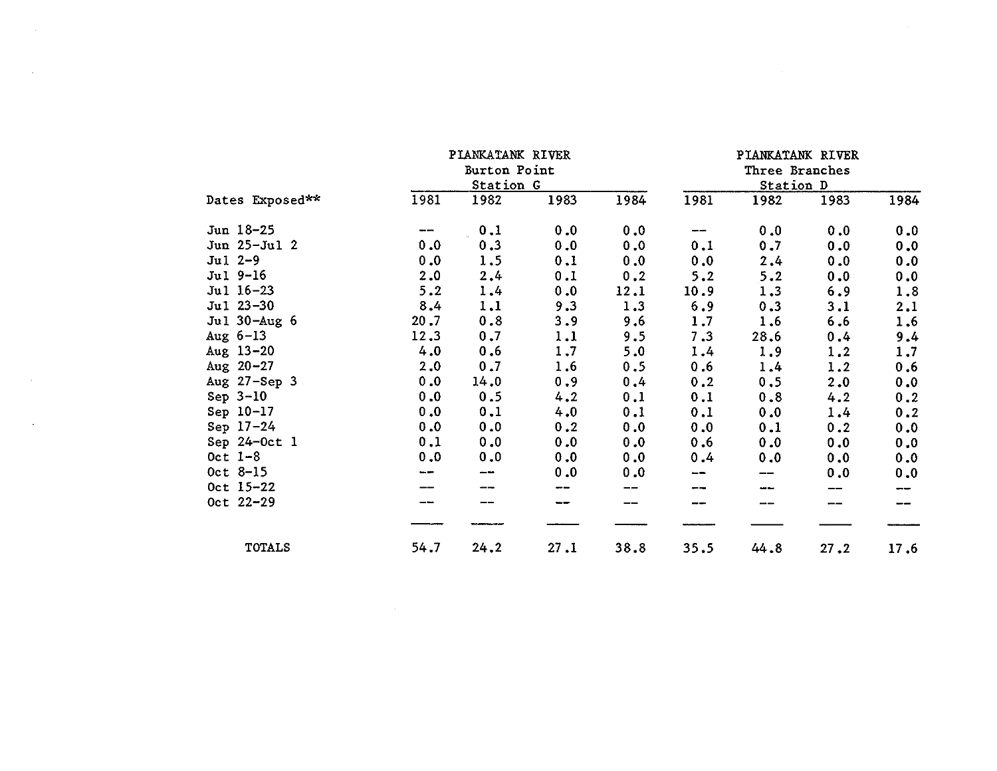|                  |      | PIANKATANK RIVER |      |      |      | PIANKATANK RIVER |      |      |
|------------------|------|------------------|------|------|------|------------------|------|------|
|                  |      | Burton Point     |      |      |      | Three Branches   |      |      |
|                  |      | Station G        |      |      |      | Station D        |      |      |
| Dates Exposed**  | 1981 | 1982             | 1983 | 1984 | 1981 | 1982             | 1983 | 1984 |
| Jun 18-25        |      | 0.1              | 0.0  | 0.0  | --   | 0.0              | 0.0  | 0.0  |
| Jun 25-Jul 2     | 0.0  | 0.3              | 0.0  | 0.0  | 0.1  | 0.7              | 0.0  | 0.0  |
| $Jul 2-9$        | 0.0  | 1.5              | 0.1  | 0.0  | 0.0  | 2,4              | 0.0  | 0.0  |
| Jul 9-16         | 2.0  | 2.4              | 0.1  | 0.2  | 5.2  | 5.2              | 0.0  | 0.0  |
| Jul 16-23        | 5.2  | 1.4              | 0.0  | 12.1 | 10.9 | 1.3              | 6.9  | 1.8  |
| Jul 23-30        | 8,4  | 1.1              | 9.3  | 1.3  | 6.9  | 0.3              | 3.1  | 2.1  |
| Jul 30-Aug 6     | 20.7 | 0.8              | 3.9  | 9.6  | 1.7  | 1.6              | 6.6  | 1.6  |
| Aug $6-13$       | 12.3 | 0.7              | 1.1  | 9.5  | 7.3  | 28.6             | 0.4  | 9.4  |
| Aug $13 - 20$    | 4.0  | 0.6              | 1.7  | 5.0  | 1.4  | 1.9              | 1.2  | 1,7  |
| Aug $20 - 27$    | 2.0  | 0.7              | 1.6  | 0.5  | 0.6  | 1.4              | 1.2  | 0.6  |
| Aug $27 - Sep$ 3 | 0.0  | 14.0             | 0.9  | 0.4  | 0.2  | 0.5              | 2.0  | 0.0  |
| Sep $3-10$       | 0.0  | 0.5              | 4.2  | 0.1  | 0.1  | 0.8              | 4.2  | 0.2  |
| Sep 10-17        | 0.0  | 0.1              | 4.0  | 0.1  | 0.1  | 0.0              | 1.4  | 0.2  |
| Sep $17-24$      | 0.0  | 0.0              | 0.2  | 0.0  | 0.0  | 0.1              | 0.2  | 0.0  |
| Sep 24-Oct 1     | 0.1  | 0.0              | 0.0  | 0.0  | 0.6  | 0.0              | 0.0  | 0.0  |
| Oct $1-8$        | 0.0  | 0.0              | 0.0  | 0.0  | 0.4  | 0.0              | 0.0  | 0.0  |
| Oct 8-15         | ---  | --               | 0.0  | 0.0  | --   |                  | 0.0  | 0.0  |
| Oct 15-22        |      |                  |      |      | --   |                  |      | --   |
| Oct 22-29        |      |                  |      |      | --   |                  | --   |      |
| <b>TOTALS</b>    | 54.7 | 24.2             | 27.1 | 38.8 | 35.5 | 44.8             | 27.2 | 17.6 |

 $\mathcal{L}(\mathcal{L}(\mathcal{L}))$  and  $\mathcal{L}(\mathcal{L}(\mathcal{L}))$  . The contribution of  $\mathcal{L}(\mathcal{L})$ 

 $\mathcal{L}^{\text{max}}_{\text{max}}$  and  $\mathcal{L}^{\text{max}}_{\text{max}}$ 

 $\mathcal{O}(\sqrt{N})$  . The set of  $\mathcal{O}(\sqrt{N})$ 

 $\mathcal{L}(\mathcal{A})$  and  $\mathcal{L}(\mathcal{A})$  and  $\mathcal{L}(\mathcal{A})$  and  $\mathcal{L}(\mathcal{A})$ 

 $\label{eq:2.1} \mathcal{L}(\mathcal{L}(\mathcal{L})) = \mathcal{L}(\mathcal{L}(\mathcal{L})) = \mathcal{L}(\mathcal{L}(\mathcal{L}))$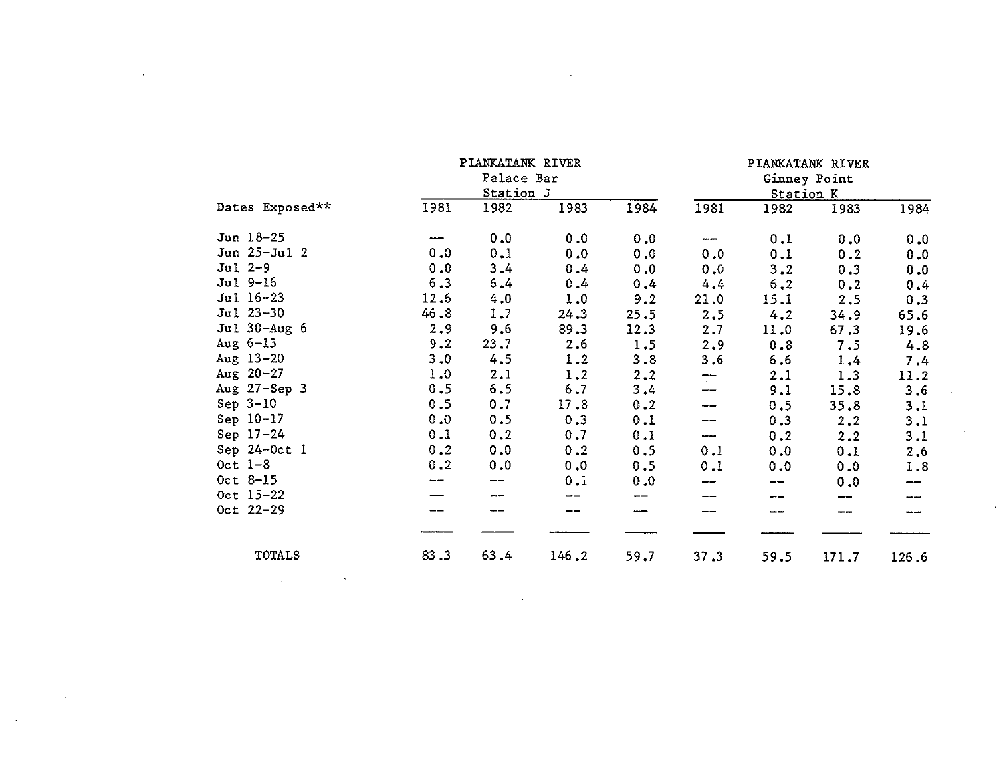|                 |          | PIANKATANK RIVER |       |      |                      |           | PIANKATANK RIVER |       |
|-----------------|----------|------------------|-------|------|----------------------|-----------|------------------|-------|
|                 |          | Palace Bar       |       |      |                      |           | Ginney Point     |       |
|                 |          | Station J        |       |      |                      | Station K |                  |       |
| Dates Exposed** | 1981     | 1982             | 1983  | 1984 | 1981                 | 1982      | 1983             | 1984  |
| Jun 18-25       | $\cdots$ | 0.0              | 0.0   | 0.0  | ---                  | 0.1       | 0.0              | 0.0   |
| Jun 25-Jul 2    | 0.0      | 0.1              | 0.0   | 0.0  | 0.0                  | 0.1       | 0.2              | 0.0   |
| $Jul 2-9$       | 0.0      | 3.4              | 0.4   | 0.0  | 0.0                  | 3.2       | 0.3              | 0.0   |
| Jul 9-16        | 6.3      | 6.4              | 0.4   | 0.4  | 4.4                  | 6.2       | 0.2              | 0.4   |
| Jul 16-23       | 12.6     | 4.0              | 1.0   | 9.2  | 21.0                 | 15.1      | 2.5              | 0.3   |
| Jul 23-30       | 46.8     | 1.7              | 24.3  | 25.5 | 2.5                  | 4.2       | 34.9             | 65.6  |
| Jul 30-Aug 6    | 2.9      | 9.6              | 89.3  | 12.3 | 2,7                  | 11.0      | 67.3             | 19.6  |
| Aug $6-13$      | 9.2      | 23.7             | 2.6   | 1.5  | 2.9                  | 0.8       | 7.5              | 4.8   |
| Aug $13 - 20$   | 3.0      | 4.5              | 1.2   | 3.8  | 3.6                  | 6.6       | 1.4              | 7.4   |
| Aug $20 - 27$   | 1.0      | 2.1              | 1.2   | 2, 2 | $\tilde{\mathbf{r}}$ | 2.1       | 1.3              | 11.2  |
| Aug 27-Sep 3    | 0.5      | 6.5              | $6.7$ | 3.4  | --                   | 9.1       | 15.8             | 3.6   |
| Sep $3-10$      | 0.5      | 0.7              | 17.8  | 0.2  | --                   | 0.5       | 35.8             | 3.1   |
| Sep 10-17       | 0.0      | 0.5              | 0.3   | 0.1  | --                   | 0.3       | 2, 2             | 3.1   |
| $Sep 17-24$     | 0.1      | 0.2              | 0.7   | 0.1  | ---                  | 0.2       | 2.2              | 3.1   |
| Sep 24-Oct 1    | 0.2      | 0.0              | 0.2   | 0.5  | 0.1                  | 0.0       | 0.1              | 2.6   |
| Oct $1-8$       | 0.2      | 0.0              | 0.0   | 0.5  | 0.1                  | 0.0       | 0.0              | 1.8   |
| $0ct 8-15$      |          |                  | 0.1   | 0.0  |                      | ---       | 0.0              | --    |
| Oct 15-22       |          |                  |       | --   |                      |           | --               |       |
| Oct 22-29       |          |                  |       | --   |                      |           | --               |       |
|                 |          |                  |       |      |                      |           |                  |       |
| <b>TOTALS</b>   | 83.3     | 63.4             | 146.2 | 59.7 | 37.3                 | 59.5      | 171.7            | 126.6 |
|                 |          |                  |       |      |                      |           |                  |       |

 $\mathcal{L}(\mathcal{L}(\mathcal{L}(\mathcal{L}(\mathcal{L}(\mathcal{L}(\mathcal{L}(\mathcal{L}(\mathcal{L}(\mathcal{L}(\mathcal{L}(\mathcal{L}(\mathcal{L}(\mathcal{L}(\mathcal{L}(\mathcal{L}(\mathcal{L}(\mathcal{L}(\mathcal{L}(\mathcal{L}(\mathcal{L}(\mathcal{L}(\mathcal{L}(\mathcal{L}(\mathcal{L}(\mathcal{L}(\mathcal{L}(\mathcal{L}(\mathcal{L}(\mathcal{L}(\mathcal{L}(\mathcal{L}(\mathcal{L}(\mathcal{L}(\mathcal{L}(\mathcal{L}(\mathcal{$ 

 $\sim 10^7$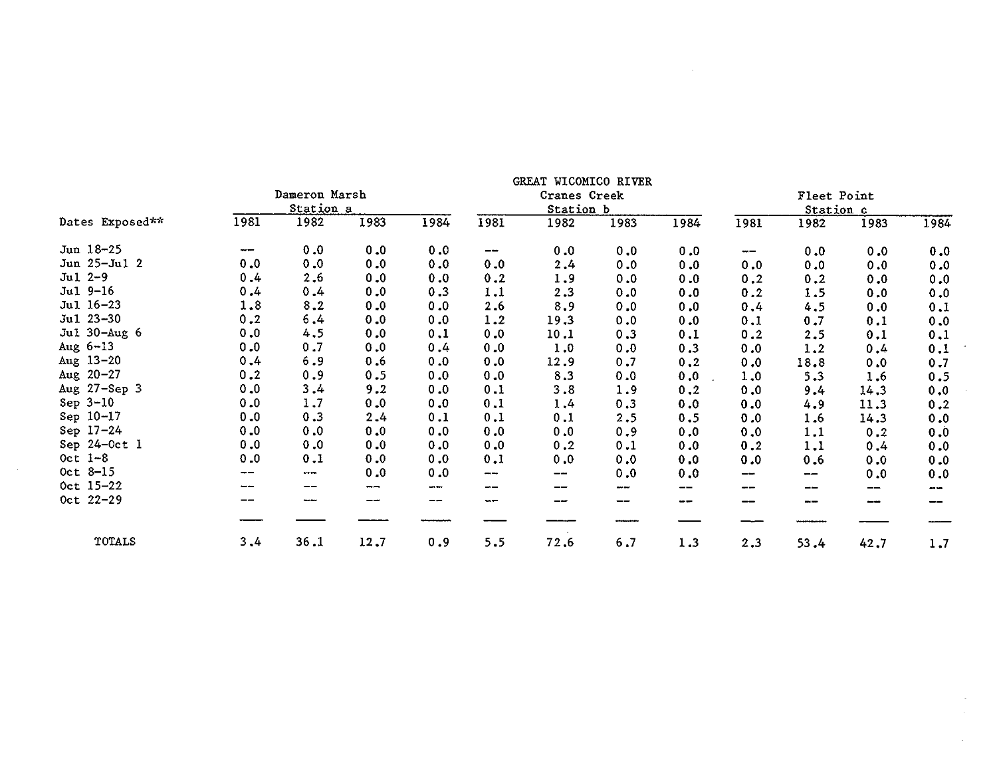| Dates Exposed** |      | Dameron Marsh<br>Station a |      |         | GREAT WICOMICO RIVER<br>Cranes Creek<br>Station b |      |      |      | Fleet Point<br>Station c |      |      |                |
|-----------------|------|----------------------------|------|---------|---------------------------------------------------|------|------|------|--------------------------|------|------|----------------|
|                 | 1981 | 1982                       | 1983 | 1984    | 1981                                              | 1982 | 1983 | 1984 | 1981                     | 1982 | 1983 | 1984           |
| Jun 18-25       | $-$  | 0.0                        | 0.0  | 0.0     | --                                                | 0.0  | 0.0  | 0.0  | $-\!$ $-$                | 0.0  | 0.0  | 0.0            |
| Jun 25-Jul 2    | 0.0  | 0.0                        | 0.0  | 0.0     | 0.0                                               | 2.4  | 0.0  | 0.0  | 0.0                      | 0.0  | 0.0  | 0.0            |
| $Ju1 2-9$       | 0.4  | 2.6                        | 0.0  | 0.0     | 0.2                                               | 1.9  | 0.0  | 0.0  | 0.2                      | 0.2  | 0.0  | 0.0            |
| $Ju1 9-16$      | 0.4  | 0.4                        | 0.0  | 0.3     | 1.1                                               | 2.3  | 0.0  | 0.0  | 0.2                      | 1.5  | 0.0  | 0.0            |
| Jul 16-23       | 1.8  | 8.2                        | 0.0  | 0.0     | 2.6                                               | 8.9  | 0.0  | 0.0  | 0.4                      | 4.5  | 0.0  | 0.1            |
| $Ju1 23 - 30$   | 0.2  | 6,4                        | 0.0  | 0.0     | 1.2                                               | 19.3 | 0.0  | 0.0  | 0.1                      | 0.7  | 0.1  | 0.0            |
| Jul 30-Aug 6    | 0.0  | 4.5                        | 0.0  | 0.1     | 0.0                                               | 10.1 | 0.3  | 0.1  | 0.2                      | 2.5  | 0.1  | 0.1            |
| Aug $6-13$      | 0.0  | 0.7                        | 0.0  | 0.4     | 0.0                                               | 1.0  | 0.0  | 0.3  | 0.0                      | 1.2  | 0.4  | 0.1            |
| Aug $13-20$     | 0.4  | 6.9                        | 0.6  | 0.0     | 0.0                                               | 12.9 | 0.7  | 0.2  | 0.0                      | 18.8 | 0.0  | 0.7            |
| Aug $20 - 27$   | 0.2  | 0.9                        | 0.5  | 0.0     | 0.0                                               | 8.3  | 0.0  | 0.0  | 1.0                      | 5.3  | 1.6  | 0.5            |
| Aug 27-Sep 3    | 0.0  | 3.4                        | 9.2  | 0.0     | 0.1                                               | 3.8  | 1.9  | 0.2  | 0.0                      | 9.4  | 14.3 | 0.0            |
| Sep $3-10$      | 0.0  | 1.7                        | 0.0  | 0.0     | 0.1                                               | 1.4  | 0.3  | 0.0  | 0.0                      | 4.9  | 11.3 | 0.2            |
| Sep 10-17       | 0.0  | 0.3                        | 2.4  | 0.1     | 0.1                                               | 0.1  | 2.5  | 0.5  | 0.0                      | 1.6  | 14.3 | 0.0            |
| Sep 17-24       | 0.0  | 0.0                        | 0.0  | 0.0     | 0.0                                               | 0.0  | 0.9  | 0.0  | 0.0                      | 1.1  | 0.2  | 0.0            |
| Sep 24-Oct 1    | 0.0  | 0.0                        | 0.0  | 0.0     | 0.0                                               | 0, 2 | 0.1  | 0.0  | 0.2                      | 1.1  | 0.4  | 0.0            |
| Oct $1-8$       | 0.0  | 0.1                        | 0.0  | 0.0     | 0.1                                               | 0.0  | 0.0  | 0.0  | 0.0                      | 0.6  | 0.0  | 0.0            |
| Oct 8-15        | --   | $\cdots$                   | 0.0  | 0.0     | ---                                               | --   | 0.0  | 0.0  | --                       | --   | 0.0  | 0.0            |
| Oct 15-22       |      | --                         | --   | ann ann | --                                                |      | www. | --   |                          | --   | --   | <b>Section</b> |
| Oct 22-29       | --   | سيوم وبيره                 | --   | --      | $-$                                               |      | --   | ---  | --                       |      |      |                |
|                 |      |                            |      |         |                                                   |      |      |      |                          |      |      |                |
| TOTALS          | 3.4  | 36.1                       | 12.7 | 0.9     | 5.5                                               | 72.6 | 6.7  | 1.3  | 2.3                      | 53.4 | 42.7 | 1.7            |

 $\sim 10^{-11}$ 

 $\mathcal{L}^{\mathcal{L}}(\mathcal{L}^{\mathcal{L}})$  and  $\mathcal{L}^{\mathcal{L}}(\mathcal{L}^{\mathcal{L}})$  .

 $\sigma_{\rm{max}}$ 

 $\sim$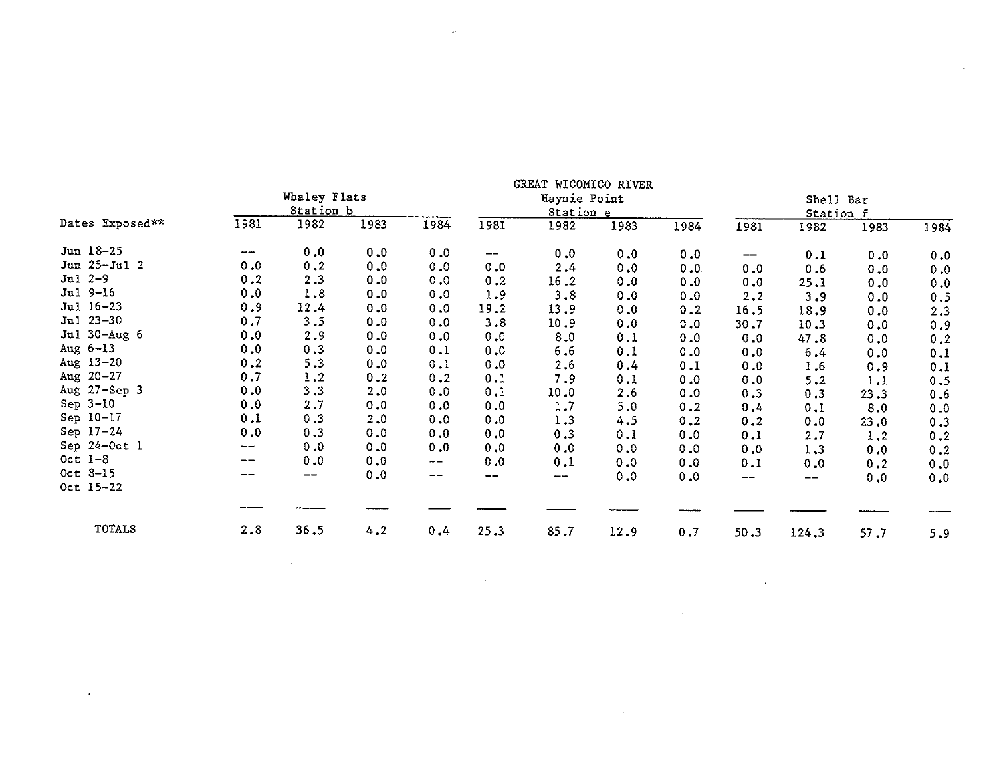| Dates Exposed** |               | Whaley Flats<br>Station b           |      |         | GREAT WICOMICO RIVER<br>Haynie Point<br>Station e |       |      |      | Shell Bar<br>Station f |       |      |         |
|-----------------|---------------|-------------------------------------|------|---------|---------------------------------------------------|-------|------|------|------------------------|-------|------|---------|
|                 | 1981          | 1982                                | 1983 | 1984    | 1981                                              | 1982  | 1983 | 1984 | 1981                   | 1982  | 1983 | 1984    |
| Jun 18-25       | $\sim$        | 0.0                                 | 0.0  | 0.0     | $-\!$ $\!-$                                       | 0.0   | 0.0  | 0.0  | --                     | 0.1   | 0.0  | 0.0     |
| Jun 25-Jul 2    | 0.0           | 0.2                                 | 0.0  | 0.0     | 0.0                                               | 2.4   | 0.0  | 0.0  | 0.0                    | 0.6   | 0.0  | 0.0     |
| $Jul 2-9$       | 0.2           | 2.3                                 | 0.0  | 0.0     | 0.2                                               | 16.2  | 0.0  | 0.0  | 0.0                    | 25.1  | 0.0  | 0.0     |
| Jul 9-16        | 0.0           | 1.8                                 | 0.0  | 0.0     | 1.9                                               | 3.8   | 0.0  | 0.0  | 2.2                    | 3.9   | 0.0  | 0.5     |
| Jul 16-23       | 0.9           | 12.4                                | 0.0  | 0.0     | 19.2                                              | 13.9  | 0.0  | 0.2  | 16.5                   | 18.9  | 0.0  | 2.3     |
| Jul 23-30       | 0.7           | 3.5                                 | 0.0  | 0.0     | 3.8                                               | 10.9  | 0.0  | 0.0  | 30.7                   | 10.3  | 0.0  | 0.9     |
| Jul 30-Aug 6    | 0.0           | 2.9                                 | 0.0  | 0.0     | 0.0                                               | 8.0   | 0.1  | 0.0  | 0.0                    | 47.8  | 0.0  | 0.2     |
| Aug $6-13$      | 0.0           | 0.3                                 | 0.0  | 0.1     | 0.0                                               | $6.6$ | 0.1  | 0.0  | 0.0                    | 6.4   | 0.0  | 0.1     |
| Aug $13-20$     | 0.2           | 5.3                                 | 0.0  | 0.1     | 0.0                                               | 2.6   | 0.4  | 0.1  | 0.0                    | 1.6   | 0.9  | 0.1     |
| Aug 20-27       | 0.7           | 1.2                                 | 0.2  | 0.2     | 0.1                                               | 7.9   | 0.1  | 0.0  | 0.0                    | 5, 2  | 1.1  | 0.5     |
| Aug 27-Sep 3    | 0.0           | 3.3                                 | 2.0  | 0.0     | 0.1                                               | 10.0  | 2.6  | 0.0  | 0.3                    | 0.3   | 23.3 | 0.6     |
| Sep $3-10$      | 0.0           | 2.7                                 | 0.0  | 0.0     | 0.0                                               | 1.7   | 5.0  | 0.2  | 0.4                    | 0.1   | 8.0  | 0.0     |
| Sep 10-17       | 0.1           | 0.3                                 | 2.0  | 0.0     | 0.0                                               | 1.3   | 4.5  | 0.2  | 0.2                    | 0.0   | 23.0 | 0.3     |
| Sep 17-24       | 0.0           | 0.3                                 | 0.0  | 0.0     | 0.0                                               | 0.3   | 0.1  | 0.0  | 0.1                    | 2.7   | 1.2  | $0\,.2$ |
| Sep 24-Oct 1    | $\frac{1}{2}$ | 0.0                                 | 0.0  | 0.0     | 0.0                                               | 0.0   | 0.0  | 0.0  | 0.0                    | 1.3   | 0.0  | 0.2     |
| Oct $1-8$       | $- -$         | 0.0                                 | 0.0  | mar ann | 0.0                                               | 0.1   | 0.0  | 0.0  | 0.1                    | 0.0   | 0.2  | 0.0     |
| Oct 8-15        | --            | $\hspace{0.05cm}$ $\hspace{0.05cm}$ | 0.0  | --      | --                                                | --    | 0.0  | 0.0  | $- -$                  | --    | 0.0  | 0.0     |
| Oct 15-22       |               |                                     |      |         |                                                   |       |      |      |                        |       |      |         |
|                 |               |                                     |      |         |                                                   |       |      |      |                        |       |      |         |
| <b>TOTALS</b>   | 2.8           | 36.5                                | 4.2  | 0.4     | 25.3                                              | 85.7  | 12.9 | 0.7  | 50.3                   | 124.3 | 57.7 | 5.9     |

 $\mathcal{L}(\mathbf{z},\mathbf{z})$  , where  $\mathcal{L}(\mathbf{z},\mathbf{z})$ 

 $\mathcal{L}(\mathcal{L}(\mathcal{L}))$  and  $\mathcal{L}(\mathcal{L}(\mathcal{L}))$  . The contribution of  $\mathcal{L}(\mathcal{L})$ 

 $\label{eq:2.1} \Delta \mathbf{V} = \left\{ \begin{array}{ll} \Delta \mathbf{V} & \mbox{if} \quad \mathbf{V} \in \mathbb{R}^d \times \mathbb{R}^d \times \mathbb{R}^d \times \mathbb{R}^d \times \mathbb{R}^d \times \mathbb{R}^d \times \mathbb{R}^d \times \mathbb{R}^d \times \mathbb{R}^d \times \mathbb{R}^d \times \mathbb{R}^d \times \mathbb{R}^d \times \mathbb{R}^d \times \mathbb{R}^d \times \mathbb{R}^d \times \mathbb{R}^d \times \mathbb{R}$ 

 $\mathcal{L}^{\text{max}}_{\text{max}}$  $\sim 10^{11}$  km  $^{-1}$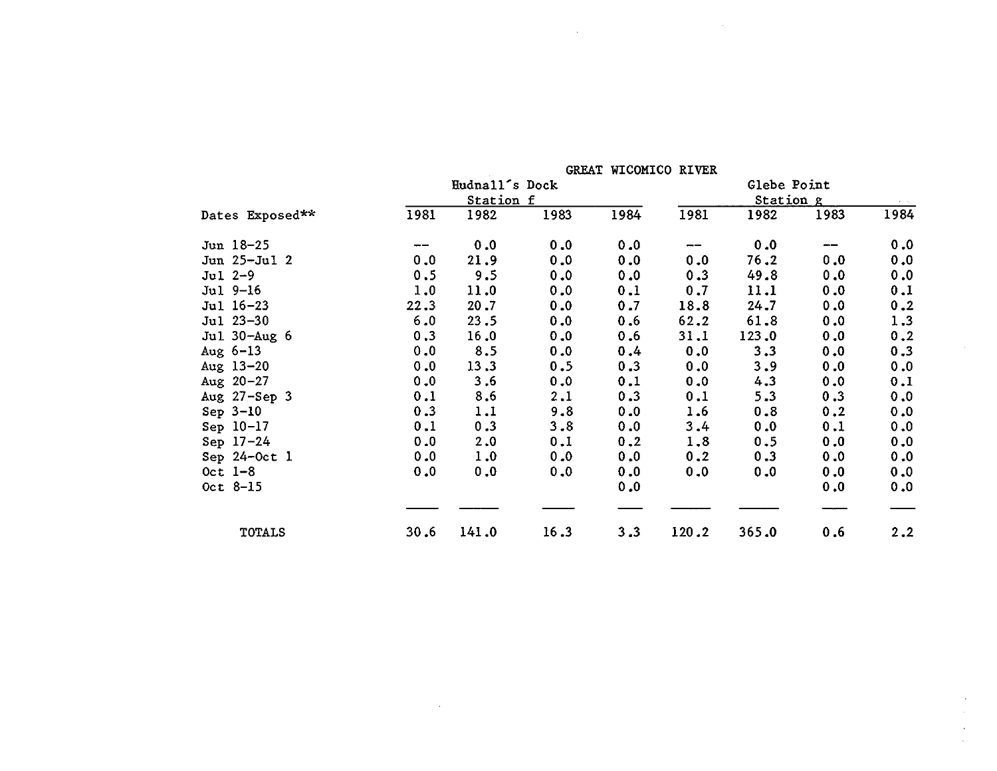|                 |      |                |         | GREAT WICOMICO RIVER |       |             |      |      |
|-----------------|------|----------------|---------|----------------------|-------|-------------|------|------|
|                 |      | Hudnall's Dock |         |                      |       | Glebe Point |      |      |
|                 |      | Station f      |         |                      |       | Station g   |      |      |
| Dates Exposed** | 1981 | 1982           | 1983    | 1984                 | 1981  | 1982        | 1983 | 1984 |
| Jun 18-25       |      | 0.0            | 0.0     | 0.0                  | $- -$ | 0.0         | ---  | 0.0  |
| $Jun 25-Ju1 2$  | 0.0  | 21.9           | 0.0     | 0.0                  | 0.0   | 76.2        | 0.0  | 0.0  |
| $Jul 2-9$       | 0.5  | 9.5            | 0.0     | 0.0                  | 0.3   | 49.8        | 0.0  | 0.0  |
| $Jul 9-16$      | 1.0  | 11.0           | 0.0     | 0.1                  | 0.7   | 11.1        | 0.0  | 0.1  |
| Jul 16-23       | 22.3 | 20.7           | 0.0     | 0.7                  | 18.8  | 24.7        | 0.0  | 0.2  |
| Jul 23-30       | 6.0  | 23.5           | 0.0     | 0.6                  | 62.2  | 61.8        | 0.0  | 1.3  |
| Jul 30-Aug 6    | 0.3  | 16.0           | 0.0     | 0.6                  | 31.1  | 123.0       | 0.0  | 0.2  |
| Aug $6-13$      | 0.0  | 8.5            | 0.0     | 0.4                  | 0.0   | 3.3         | 0.0  | 0.3  |
| Aug $13-20$     | 0.0  | 13.3           | 0.5     | 0.3                  | 0.0   | 3.9         | 0.0  | 0.0  |
| Aug $20 - 27$   | 0.0  | 3.6            | 0.0     | 0.1                  | 0.0   | 4.3         | 0.0  | 0.1  |
| Aug 27-Sep 3    | 0.1  | 8.6            | 2.1     | 0.3                  | 0.1   | 5.3         | 0.3  | 0.0  |
| Sep $3-10$      | 0.3  | 1.1            | 9.8     | 0.0                  | 1.6   | 0.8         | 0.2  | 0.0  |
| Sep 10-17       | 0.1  | 0.3            | $3 - 8$ | 0.0                  | 3.4   | 0.0         | 0.1  | 0.0  |
| Sep $17-24$     | 0.0  | 2.0            | 0.1     | 0.2                  | 1.8   | 0.5         | 0.0  | 0.0  |
| Sep 24-Oct 1    | 0.0  | 1.0            | 0.0     | 0.0                  | 0.2   | 0.3         | 0.0  | 0.0  |
| Oct $1-8$       | 0.0  | 0.0            | 0.0     | 0.0                  | 0.0   | 0.0         | 0.0  | 0.0  |
| $0ct$ 8-15      |      |                |         | 0.0                  |       |             | 0.0  | 0.0  |
| TOTALS          | 30.6 | 141.0          | 16.3    | 3,3                  | 120.2 | 365.0       | 0.6  | 2.2  |

 $\mathcal{L}(\mathcal{L}^{\mathcal{L}})$  and  $\mathcal{L}^{\mathcal{L}}$  and  $\mathcal{L}^{\mathcal{L}}$ 

 $\sim 10^{-1}$ 

 $\mathcal{L}^{\pm}$  $\sim$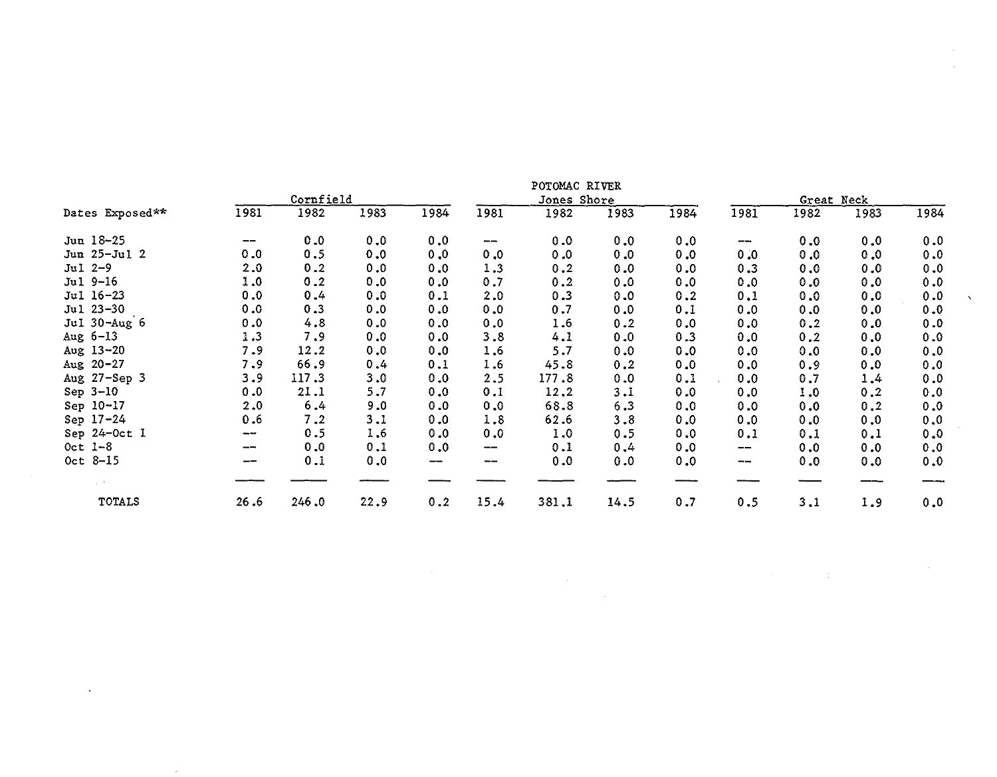|                 |      | Cornfield |      |             |                                | POTOMAC RIVER<br>Jones Shore |      |      |             | Great Neck |      |      |
|-----------------|------|-----------|------|-------------|--------------------------------|------------------------------|------|------|-------------|------------|------|------|
| Dates Exposed** | 1981 | 1982      | 1983 | 1984        | 1981                           | 1982                         | 1983 | 1984 | 1981        | 1982       | 1983 | 1984 |
| Jun 18-25       | --   | 0.0       | 0.0  | 0.0         | $\qquad \qquad \longleftarrow$ | 0.0                          | 0.0  | 0.0  | $-\!-\!$    | 0.0        | 0.0  | 0.0  |
| Jun 25-Jul 2    | 0.0  | 0.5       | 0.0  | 0, 0        | 0.0                            | 0.0                          | 0.0  | 0.0  | 0.0         | 0.0        | 0.0  | 0.0  |
| Jul 2-9         | 2.0  | 0.2       | 0.0  | 0.0         | 1.3                            | 0.2                          | 0.0  | 0.0  | 0.3         | 0.0        | 0.0  | 0.0  |
| Jul 9-16        | 1.0  | 0.2       | 0.0  | 0.0         | 0.7                            | 0.2                          | 0.0  | 0.0  | 0.0         | 0.0        | 0.0  | 0.0  |
| Jul 16-23       | 0.0  | 0.4       | 0.0  | 0.1         | 2.0                            | 0.3                          | 0.0  | 0.2  | 0.1         | 0.0        | 0.0  | 0.0  |
| Jul 23-30       | 0.0  | 0.3       | 0.0  | 0.0         | 0.0                            | 0.7                          | 0.0  | 0.1  | 0.0         | 0.0        | 0.0  | 0.0  |
| Jul 30-Aug 6    | 0.0  | 4.8       | 0.0  | 0.0         | 0.0                            | 1.6                          | 0.2  | 0.0  | 0.0         | 0.2        | 0.0  | 0.0  |
| Aug $6-13$      | 1.3  | 7.9       | 0.0  | 0.0         | 3.8                            | 4.1                          | 0.0  | 0.3  | 0.0         | 0.2        | 0.0  | 0.0  |
| Aug 13-20       | 7.9  | 12.2      | 0.0  | 0.0         | 1.6                            | 5.7                          | 0.0  | 0.0  | 0.0         | 0.0        | 0.0  | 0.0  |
| Aug $20 - 27$   | 7.9  | 66.9      | 0.4  | 0.1         | 1.6                            | 45.8                         | 0.2  | 0.0  | 0.0         | 0.9        | 0.0  | 0.0  |
| Aug 27-Sep 3    | 3.9  | 117.3     | 3.0  | 0.0         | 2.5                            | 177.8                        | 0.0  | 0.1  | 0.0         | 0.7        | 1.4  | 0.0  |
| Sep $3-10$      | 0.0  | 21.1      | 5.7  | 0.0         | 0.1                            | 12.2                         | 3.1  | 0.0  | 0.0         | 1.0        | 0.2  | 0.0  |
| Sep 10-17       | 2.0  | 6.4       | 9.0  | 0.0         | 0.0                            | 68.8                         | 6.3  | 0.0  | 0.0         | 0.0        | 0.2  | 0.0  |
| Sep 17-24       | 0.6  | 7.2       | 3.1  | 0.0         | 1.8                            | 62.6                         | 3.8  | 0.0  | 0.0         | 0.0        | 0.0  | 0.0  |
| Sep 24-Oct 1    | --   | 0.5       | 1.6  | 0.0         | 0.0                            | 1.0                          | 0.5  | 0.0  | 0.1         | 0.1        | 0.1  | 0.0  |
| Oct $1-8$       | ---  | 0.0       | 0.1  | 0.0         | --                             | 0.1                          | 0.4  | 0.0  | $-\!$ $\!-$ | 0.0        | 0.0  | 0.0  |
| Oct 8-15        | --   | 0.1       | 0.0  | $-\!$ $\!-$ | $\cdots$                       | 0.0                          | 0.0  | 0.0  | $-\!$       | 0.0        | 0.0  | 0.0  |
|                 |      |           |      |             |                                |                              |      |      |             |            |      |      |
| TOTALS          | 26.6 | 246.0     | 22.9 | 0.2         | 15.4                           | 381.1                        | 14.5 | 0.7  | 0.5         | 3.1        | 1.9  | 0.0  |

 $\sim 10^{11}$  km  $^{-1}$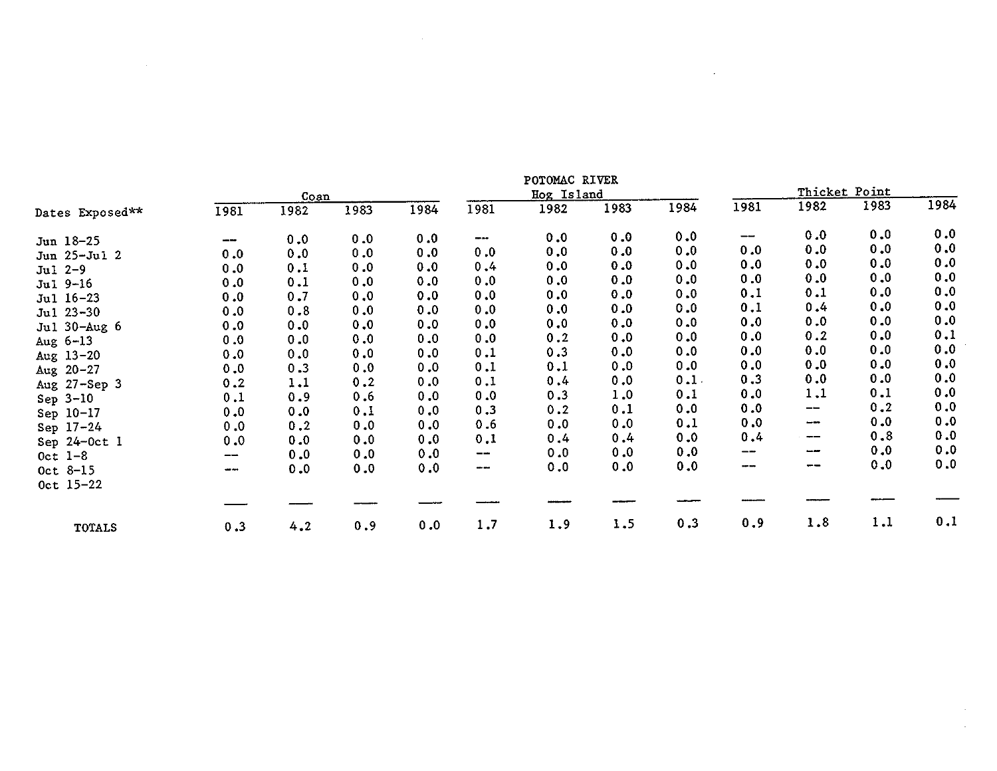|                   | POTOMAC RIVER |      |      |      |                        |            |      |      |      |      |               |      |
|-------------------|---------------|------|------|------|------------------------|------------|------|------|------|------|---------------|------|
|                   |               | Coan |      |      |                        | Hog Island |      |      |      |      | Thicket Point |      |
| Dates Exposed**   | 1981          | 1982 | 1983 | 1984 | 1981                   | 1982       | 1983 | 1984 | 1981 | 1982 | 1983          | 1984 |
| Jun 18-25         | --            | 0.0  | 0.0  | 0.0  | $\qquad \qquad \cdots$ | 0.0        | 0.0  | 0.0  | --   | 0.0  | 0.0           | 0.0  |
| Jun 25-Jul 2      | 0.0           | 0.0  | 0.0  | 0.0  | 0.0                    | 0.0        | 0.0  | 0.0  | 0.0  | 0.0  | 0.0           | 0.0  |
| $Jul 2-9$         | 0.0           | 0.1  | 0.0  | 0.0  | 0.4                    | 0.0        | 0.0  | 0.0  | 0.0  | 0.0  | 0.0           | 0.0  |
| Jul 9-16          | 0.0           | 0.1  | 0.0  | 0.0  | 0.0                    | 0.0        | 0.0  | 0.0  | 0.0  | 0.0  | 0.0           | 0.0  |
| Jul 16-23         | 0.0           | 0.7  | 0.0  | 0.0  | 0.0                    | 0.0        | 0.0  | 0.0  | 0.1  | 0.1  | 0.0           | 0.0  |
| Jul 23-30         | 0.0           | 0.8  | 0.0  | 0.0  | 0.0                    | 0.0        | 0.0  | 0.0  | 0.1  | 0.4  | 0.0           | 0.0  |
| Jul 30-Aug 6      | 0.0           | 0.0  | 0.0  | 0.0  | 0.0                    | 0.0        | 0.0  | 0.0  | 0.0  | 0.0  | 0.0           | 0.0  |
| Aug $6-13$        | 0.0           | 0.0  | 0.0  | 0.0  | 0.0                    | 0.2        | 0.0  | 0.0  | 0.0  | 0.2  | 0.0           | 0.1  |
| Aug $13 - 20$     | 0.0           | 0.0  | 0.0  | 0.0  | 0.1                    | 0.3        | 0.0  | 0.0  | 0.0  | 0.0  | 0.0           | 0.0  |
| Aug $20 - 27$     | 0.0           | 0.3  | 0.0  | 0.0  | 0.1                    | 0.1        | 0.0  | 0.0  | 0.0  | 0.0  | 0.0           | 0.0  |
| Aug 27-Sep 3      | 0.2           | 1.1  | 0.2  | 0.0  | 0.1                    | 0.4        | 0.0  | 0.1. | 0.3  | 0.0  | 0.0           | 0.0  |
| Sep $3-10$        | 0.1           | 0.9  | 0.6  | 0.0  | 0.0                    | 0.3        | 1.0  | 0.1  | 0.0  | 1.1  | 0.1           | 0.0  |
| Sep 10-17         | 0.0           | 0.0  | 0.1  | 0.0  | 0.3                    | 0.2        | 0.1  | 0.0  | 0.0  | --   | 0.2           | 0.0  |
| Sep 17-24         | 0.0           | 0.2  | 0.0  | 0.0  | 0.6                    | 0.0        | 0.0  | 0.1  | 0.0  | --   | 0.0           | 0.0  |
| Sep $24$ -Oct $1$ | 0.0           | 0.0  | 0.0  | 0.0  | 0.1                    | 0.4        | 0.4  | 0.0  | 0.4  | --   | 0.8           | 0.0  |
| $0ct$ $1-8$       | --            | 0.0  | 0.0  | 0.0  | $-\rightarrow$         | 0.0        | 0.0  | 0.0  | --   | --   | 0.0           | 0.0  |
| $Oct 8-15$        |               | 0.0  | 0.0  | 0.0  | ---                    | 0.0        | 0.0  | 0.0  | ---  | --   | 0.0           | 0.0  |
| $0ct$ 15-22       |               |      |      |      |                        |            |      |      |      |      |               |      |
|                   |               |      |      |      |                        |            |      |      |      |      |               |      |
| <b>TOTALS</b>     | 0.3           | 4.2  | 0.9  | 0.0  | 1.7                    | 1.9        | 1.5  | 0.3  | 0.9  | 1.8  | 1.1           | 0.1  |

 $\mathcal{L}^{\text{max}}_{\text{max}}$  , where  $\mathcal{L}^{\text{max}}_{\text{max}}$ 

 $\sim$  $\mathcal{L}^{\mathcal{L}}$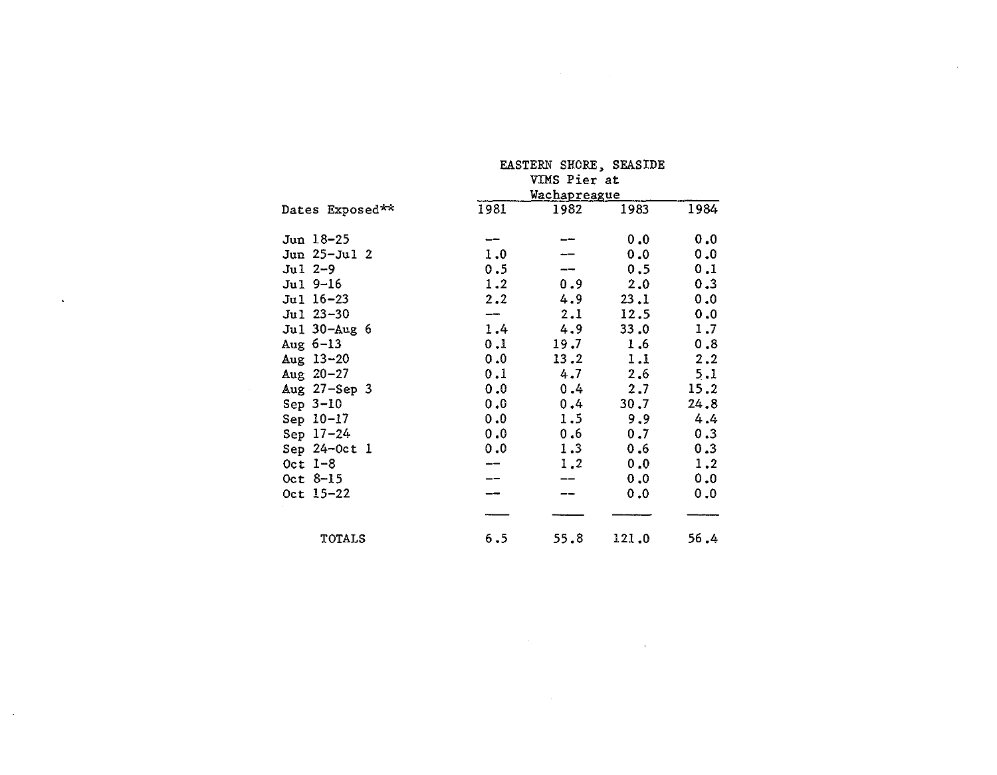|                    | EASTERN SHORE, SEASIDE              |         |       |      |  |  |  |  |
|--------------------|-------------------------------------|---------|-------|------|--|--|--|--|
|                    | VIMS Pier at<br><b>Wachapreague</b> |         |       |      |  |  |  |  |
| Dates Exposed**    | 1981                                | 1982    | 1983  | 1984 |  |  |  |  |
| Jun 18-25          |                                     |         | 0.0   | 0.0  |  |  |  |  |
| Jun 25-Jul 2       | 1.0                                 |         | 0.0   | 0.0  |  |  |  |  |
| $Jul$ 2-9          | 0.5                                 |         | 0.5   | 0.1  |  |  |  |  |
| Jul 9-16           | 1.2                                 | 0.9     | 2.0   | 0.3  |  |  |  |  |
| Jul 16-23          | 2.2                                 | 4.9     | 23.1  | 0.0  |  |  |  |  |
| Jul 23-30          | --                                  | 2.1     | 12.5  | 0.0  |  |  |  |  |
| Jul 30-Aug 6       | 1.4                                 | 4.9     | 33.0  | 1.7  |  |  |  |  |
| Aug $6-13$         | 0.1                                 | 19.7    | 1.6   | 0.8  |  |  |  |  |
| Aug $13 - 20$      | 0.0                                 | 13.2    | 1.1   | 2.2  |  |  |  |  |
| Aug $20 - 27$      | 0.1                                 | 4.7     | 2,6   | 5.1  |  |  |  |  |
| Aug $27 -$ Sep $3$ | 0.0                                 | $0.4 -$ | 2.7   | 15.2 |  |  |  |  |
| Sep $3-10$         | 0.0                                 | $0.4 -$ | 30.7  | 24.8 |  |  |  |  |
| Sep 10-17          | 0.0                                 | 1.5     | 9.9   | 4.4  |  |  |  |  |
| Sep 17-24          | 0.0                                 | 0.6     | 0.7   | 0.3  |  |  |  |  |
| Sep $24-0ct$ 1     | 0.0                                 | 1.3     | 0.6   | 0.3  |  |  |  |  |
| $0ct$ 1-8          |                                     | 1.2     | 0.0   | 1.2  |  |  |  |  |
| $0ct$ $8-15$       |                                     | --      | 0.0   | 0.0  |  |  |  |  |
| Oct 15-22          |                                     |         | 0.0   | 0.0  |  |  |  |  |
|                    |                                     |         |       |      |  |  |  |  |
| <b>TOTALS</b>      | 6.5                                 | 55.8    | 121.0 | 56.4 |  |  |  |  |

 $\label{eq:2.1} \mathcal{L}^{\mathcal{A}}_{\mathcal{A}}(\mathcal{A})=\mathcal{L}^{\mathcal{A}}_{\mathcal{A}}(\mathcal{A})=\mathcal{L}^{\mathcal{A}}_{\mathcal{A}}(\mathcal{A})=\mathcal{L}^{\mathcal{A}}_{\mathcal{A}}(\mathcal{A})=\mathcal{L}^{\mathcal{A}}_{\mathcal{A}}(\mathcal{A})$ 

 $\sim$   $\sim$ 

 $\mathcal{A}^{\mathcal{A}}$